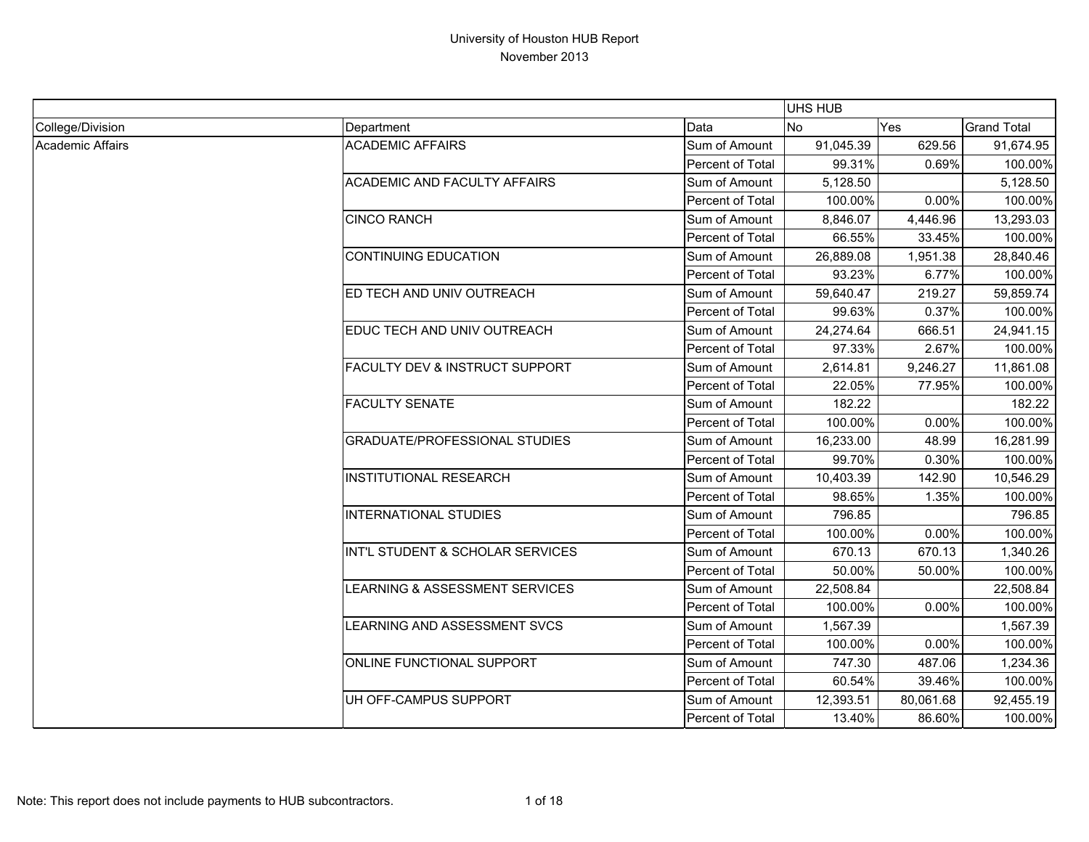|                  |                                           |                         | <b>UHS HUB</b> |           |                    |
|------------------|-------------------------------------------|-------------------------|----------------|-----------|--------------------|
| College/Division | Department                                | Data                    | <b>No</b>      | Yes       | <b>Grand Total</b> |
| Academic Affairs | <b>ACADEMIC AFFAIRS</b>                   | Sum of Amount           | 91,045.39      | 629.56    | 91,674.95          |
|                  |                                           | <b>Percent of Total</b> | 99.31%         | 0.69%     | 100.00%            |
|                  | <b>ACADEMIC AND FACULTY AFFAIRS</b>       | Sum of Amount           | 5,128.50       |           | 5,128.50           |
|                  |                                           | Percent of Total        | 100.00%        | 0.00%     | 100.00%            |
|                  | <b>CINCO RANCH</b>                        | Sum of Amount           | 8,846.07       | 4,446.96  | 13,293.03          |
|                  |                                           | Percent of Total        | 66.55%         | 33.45%    | 100.00%            |
|                  | <b>CONTINUING EDUCATION</b>               | Sum of Amount           | 26,889.08      | 1,951.38  | 28,840.46          |
|                  |                                           | Percent of Total        | 93.23%         | 6.77%     | 100.00%            |
|                  | ED TECH AND UNIV OUTREACH                 | Sum of Amount           | 59,640.47      | 219.27    | 59,859.74          |
|                  |                                           | <b>Percent of Total</b> | 99.63%         | 0.37%     | 100.00%            |
|                  | EDUC TECH AND UNIV OUTREACH               | Sum of Amount           | 24,274.64      | 666.51    | 24,941.15          |
|                  |                                           | Percent of Total        | 97.33%         | 2.67%     | 100.00%            |
|                  | <b>FACULTY DEV &amp; INSTRUCT SUPPORT</b> | Sum of Amount           | 2,614.81       | 9,246.27  | 11,861.08          |
|                  |                                           | Percent of Total        | 22.05%         | 77.95%    | 100.00%            |
|                  | <b>FACULTY SENATE</b>                     | Sum of Amount           | 182.22         |           | 182.22             |
|                  |                                           | <b>Percent of Total</b> | 100.00%        | 0.00%     | 100.00%            |
|                  | <b>GRADUATE/PROFESSIONAL STUDIES</b>      | Sum of Amount           | 16,233.00      | 48.99     | 16,281.99          |
|                  |                                           | Percent of Total        | 99.70%         | 0.30%     | 100.00%            |
|                  | <b>INSTITUTIONAL RESEARCH</b>             | Sum of Amount           | 10,403.39      | 142.90    | 10,546.29          |
|                  |                                           | Percent of Total        | 98.65%         | 1.35%     | 100.00%            |
|                  | <b>INTERNATIONAL STUDIES</b>              | Sum of Amount           | 796.85         |           | 796.85             |
|                  |                                           | Percent of Total        | 100.00%        | 0.00%     | 100.00%            |
|                  | INT'L STUDENT & SCHOLAR SERVICES          | Sum of Amount           | 670.13         | 670.13    | 1,340.26           |
|                  |                                           | Percent of Total        | 50.00%         | 50.00%    | 100.00%            |
|                  | <b>LEARNING &amp; ASSESSMENT SERVICES</b> | Sum of Amount           | 22,508.84      |           | 22,508.84          |
|                  |                                           | Percent of Total        | 100.00%        | 0.00%     | 100.00%            |
|                  | <b>LEARNING AND ASSESSMENT SVCS</b>       | Sum of Amount           | 1,567.39       |           | 1,567.39           |
|                  |                                           | Percent of Total        | 100.00%        | 0.00%     | 100.00%            |
|                  | ONLINE FUNCTIONAL SUPPORT                 | Sum of Amount           | 747.30         | 487.06    | 1,234.36           |
|                  |                                           | Percent of Total        | 60.54%         | 39.46%    | 100.00%            |
|                  | UH OFF-CAMPUS SUPPORT                     | Sum of Amount           | 12,393.51      | 80,061.68 | 92,455.19          |
|                  |                                           | Percent of Total        | 13.40%         | 86.60%    | 100.00%            |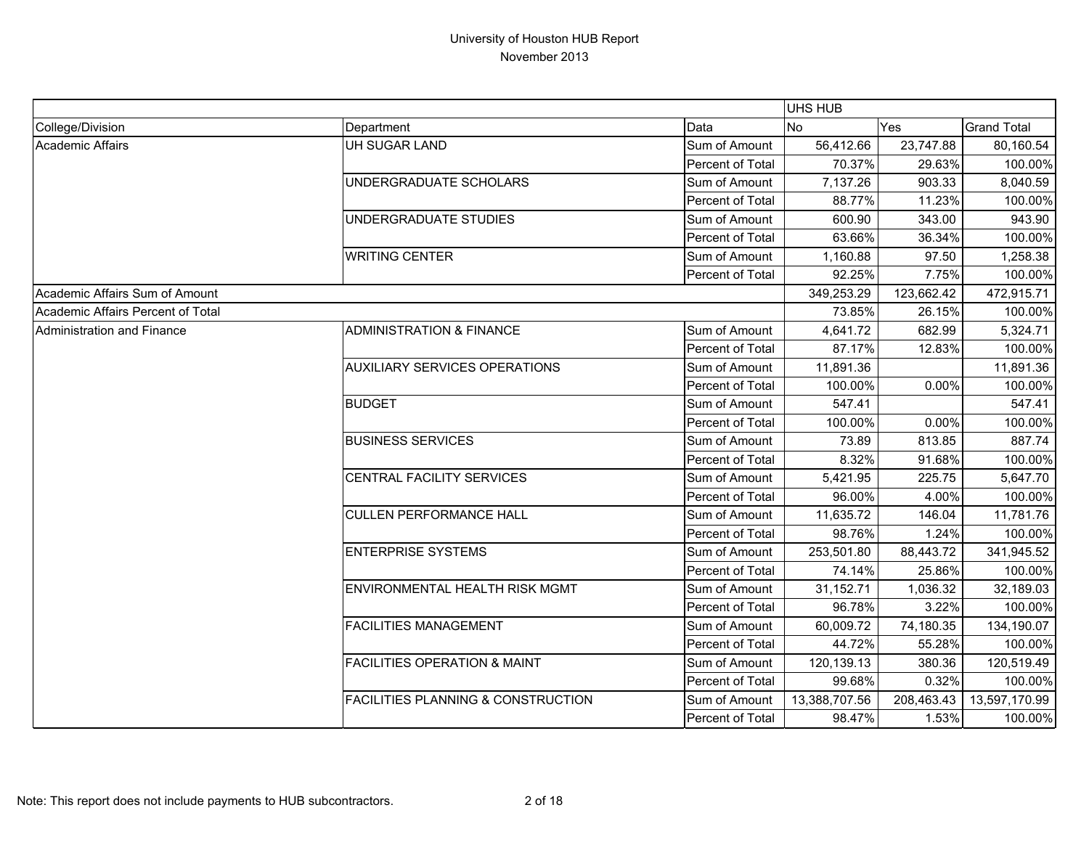|                                   |                                               |                  | UHS HUB       |            |                    |
|-----------------------------------|-----------------------------------------------|------------------|---------------|------------|--------------------|
| College/Division                  | Department                                    | Data             | <b>No</b>     | Yes        | <b>Grand Total</b> |
| Academic Affairs                  | UH SUGAR LAND                                 | Sum of Amount    | 56,412.66     | 23,747.88  | 80,160.54          |
|                                   |                                               | Percent of Total | 70.37%        | 29.63%     | 100.00%            |
|                                   | UNDERGRADUATE SCHOLARS                        | Sum of Amount    | 7,137.26      | 903.33     | 8,040.59           |
|                                   |                                               | Percent of Total | 88.77%        | 11.23%     | 100.00%            |
|                                   | UNDERGRADUATE STUDIES                         | Sum of Amount    | 600.90        | 343.00     | 943.90             |
|                                   |                                               | Percent of Total | 63.66%        | 36.34%     | 100.00%            |
|                                   | <b>WRITING CENTER</b>                         | Sum of Amount    | 1,160.88      | 97.50      | 1,258.38           |
|                                   |                                               | Percent of Total | 92.25%        | 7.75%      | 100.00%            |
| Academic Affairs Sum of Amount    |                                               |                  | 349,253.29    | 123,662.42 | 472,915.71         |
| Academic Affairs Percent of Total |                                               |                  | 73.85%        | 26.15%     | 100.00%            |
| Administration and Finance        | <b>ADMINISTRATION &amp; FINANCE</b>           | Sum of Amount    | 4,641.72      | 682.99     | 5,324.71           |
|                                   |                                               | Percent of Total | 87.17%        | 12.83%     | 100.00%            |
|                                   | <b>AUXILIARY SERVICES OPERATIONS</b>          | Sum of Amount    | 11,891.36     |            | 11,891.36          |
|                                   |                                               | Percent of Total | 100.00%       | 0.00%      | 100.00%            |
|                                   | <b>BUDGET</b>                                 | Sum of Amount    | 547.41        |            | 547.41             |
|                                   |                                               | Percent of Total | 100.00%       | 0.00%      | 100.00%            |
|                                   | <b>BUSINESS SERVICES</b>                      | Sum of Amount    | 73.89         | 813.85     | 887.74             |
|                                   |                                               | Percent of Total | 8.32%         | 91.68%     | 100.00%            |
|                                   | CENTRAL FACILITY SERVICES                     | Sum of Amount    | 5,421.95      | 225.75     | 5,647.70           |
|                                   |                                               | Percent of Total | 96.00%        | 4.00%      | 100.00%            |
|                                   | <b>CULLEN PERFORMANCE HALL</b>                | Sum of Amount    | 11,635.72     | 146.04     | 11,781.76          |
|                                   |                                               | Percent of Total | 98.76%        | 1.24%      | 100.00%            |
|                                   | <b>ENTERPRISE SYSTEMS</b>                     | Sum of Amount    | 253,501.80    | 88,443.72  | 341,945.52         |
|                                   |                                               | Percent of Total | 74.14%        | 25.86%     | 100.00%            |
|                                   | ENVIRONMENTAL HEALTH RISK MGMT                | Sum of Amount    | 31,152.71     | 1,036.32   | 32,189.03          |
|                                   |                                               | Percent of Total | 96.78%        | 3.22%      | 100.00%            |
|                                   | <b>FACILITIES MANAGEMENT</b>                  | Sum of Amount    | 60,009.72     | 74,180.35  | 134,190.07         |
|                                   |                                               | Percent of Total | 44.72%        | 55.28%     | 100.00%            |
|                                   | <b>FACILITIES OPERATION &amp; MAINT</b>       | Sum of Amount    | 120,139.13    | 380.36     | 120,519.49         |
|                                   |                                               | Percent of Total | 99.68%        | 0.32%      | 100.00%            |
|                                   | <b>FACILITIES PLANNING &amp; CONSTRUCTION</b> | Sum of Amount    | 13,388,707.56 | 208,463.43 | 13,597,170.99      |
|                                   |                                               | Percent of Total | 98.47%        | 1.53%      | 100.00%            |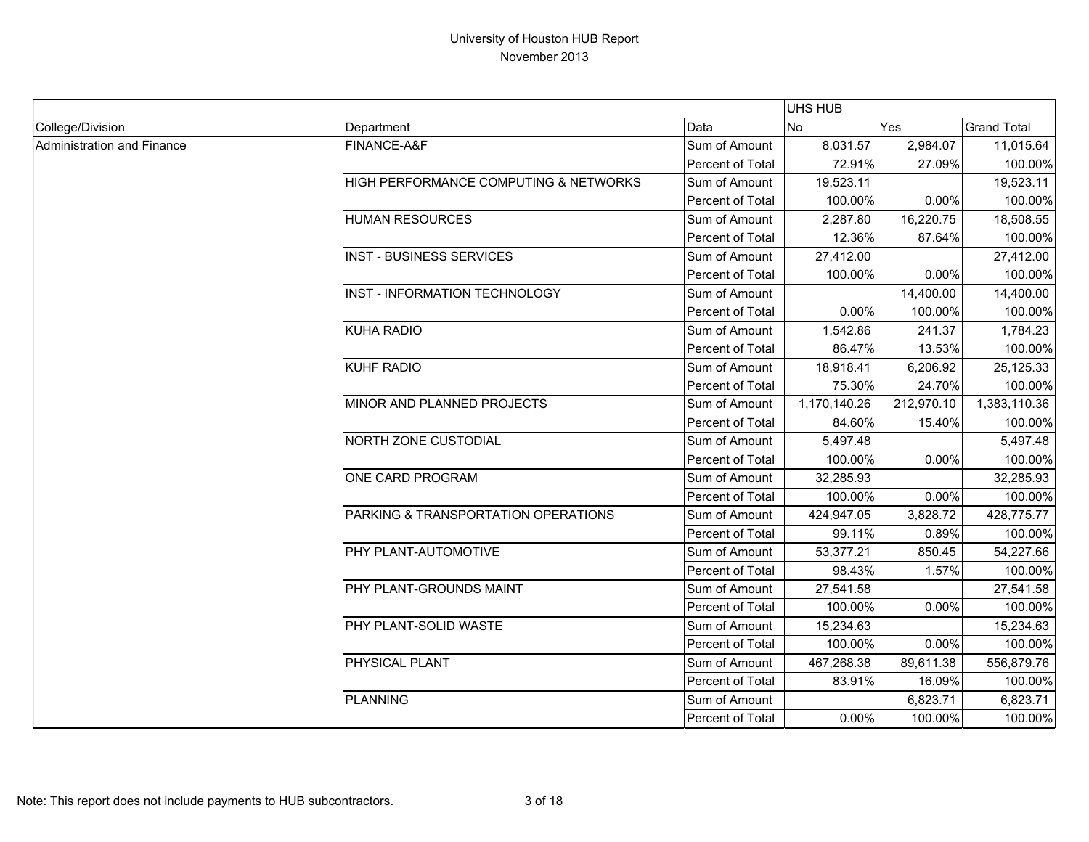|                            |                                       |                  | UHS HUB      |            |                    |
|----------------------------|---------------------------------------|------------------|--------------|------------|--------------------|
| College/Division           | Department                            | Data             | <b>No</b>    | Yes        | <b>Grand Total</b> |
| Administration and Finance | FINANCE-A&F                           | Sum of Amount    | 8,031.57     | 2,984.07   | 11,015.64          |
|                            |                                       | Percent of Total | 72.91%       | 27.09%     | 100.00%            |
|                            | HIGH PERFORMANCE COMPUTING & NETWORKS | Sum of Amount    | 19,523.11    |            | 19,523.11          |
|                            |                                       | Percent of Total | 100.00%      | 0.00%      | 100.00%            |
|                            | <b>HUMAN RESOURCES</b>                | Sum of Amount    | 2,287.80     | 16,220.75  | 18,508.55          |
|                            |                                       | Percent of Total | 12.36%       | 87.64%     | 100.00%            |
|                            | <b>INST - BUSINESS SERVICES</b>       | Sum of Amount    | 27,412.00    |            | 27,412.00          |
|                            |                                       | Percent of Total | 100.00%      | 0.00%      | 100.00%            |
|                            | INST - INFORMATION TECHNOLOGY         | Sum of Amount    |              | 14,400.00  | 14,400.00          |
|                            |                                       | Percent of Total | 0.00%        | 100.00%    | 100.00%            |
|                            | <b>KUHA RADIO</b>                     | Sum of Amount    | 1,542.86     | 241.37     | 1,784.23           |
|                            |                                       | Percent of Total | 86.47%       | 13.53%     | 100.00%            |
|                            | <b>KUHF RADIO</b>                     | Sum of Amount    | 18,918.41    | 6,206.92   | 25,125.33          |
|                            |                                       | Percent of Total | 75.30%       | 24.70%     | 100.00%            |
|                            | MINOR AND PLANNED PROJECTS            | Sum of Amount    | 1,170,140.26 | 212,970.10 | 1,383,110.36       |
|                            |                                       | Percent of Total | 84.60%       | 15.40%     | 100.00%            |
|                            | <b>NORTH ZONE CUSTODIAL</b>           | Sum of Amount    | 5,497.48     |            | 5,497.48           |
|                            |                                       | Percent of Total | 100.00%      | 0.00%      | 100.00%            |
|                            | ONE CARD PROGRAM                      | Sum of Amount    | 32,285.93    |            | 32,285.93          |
|                            |                                       | Percent of Total | 100.00%      | 0.00%      | 100.00%            |
|                            | PARKING & TRANSPORTATION OPERATIONS   | Sum of Amount    | 424,947.05   | 3,828.72   | 428,775.77         |
|                            |                                       | Percent of Total | 99.11%       | 0.89%      | 100.00%            |
|                            | PHY PLANT-AUTOMOTIVE                  | Sum of Amount    | 53,377.21    | 850.45     | 54,227.66          |
|                            |                                       | Percent of Total | 98.43%       | 1.57%      | 100.00%            |
|                            | PHY PLANT-GROUNDS MAINT               | Sum of Amount    | 27,541.58    |            | 27,541.58          |
|                            |                                       | Percent of Total | 100.00%      | 0.00%      | 100.00%            |
|                            | PHY PLANT-SOLID WASTE                 | Sum of Amount    | 15,234.63    |            | 15,234.63          |
|                            |                                       | Percent of Total | 100.00%      | 0.00%      | 100.00%            |
|                            | PHYSICAL PLANT                        | Sum of Amount    | 467,268.38   | 89,611.38  | 556,879.76         |
|                            |                                       | Percent of Total | 83.91%       | 16.09%     | 100.00%            |
|                            | <b>PLANNING</b>                       | Sum of Amount    |              | 6,823.71   | 6,823.71           |
|                            |                                       | Percent of Total | 0.00%        | 100.00%    | 100.00%            |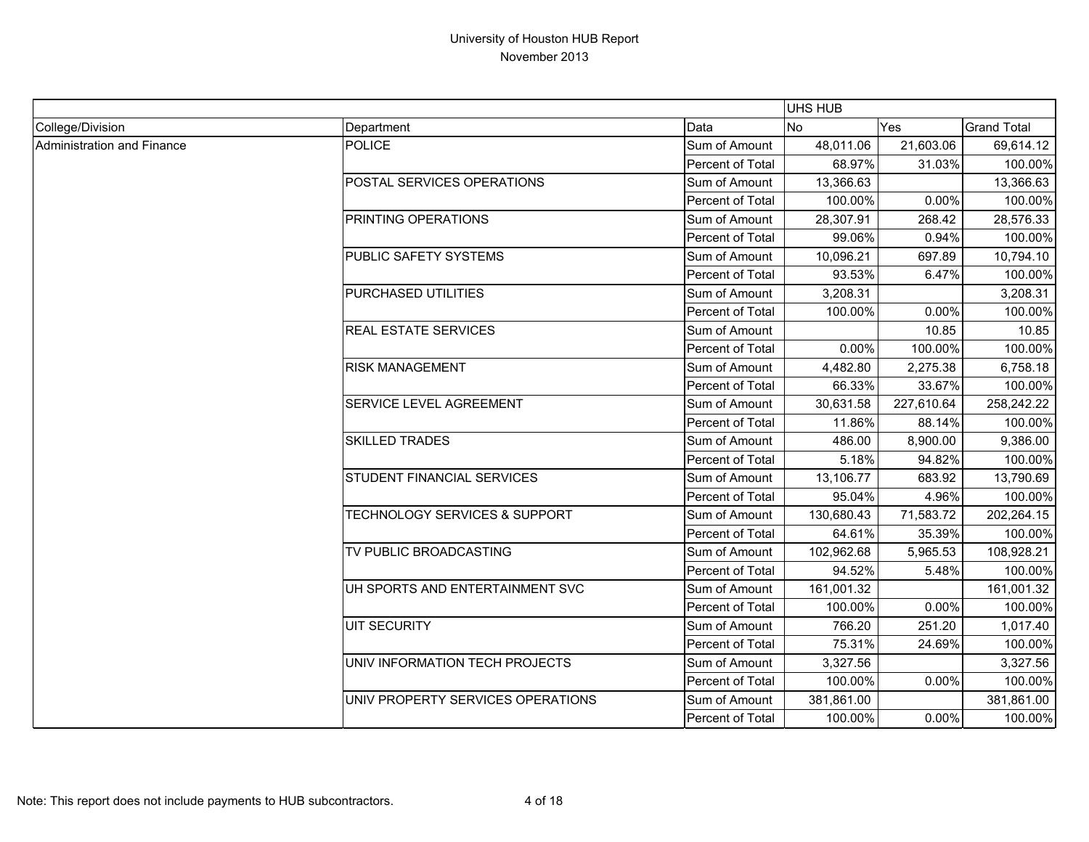|                            |                                          |                  | <b>UHS HUB</b> |            |                    |
|----------------------------|------------------------------------------|------------------|----------------|------------|--------------------|
| College/Division           | Department                               | Data             | N <sub>o</sub> | Yes        | <b>Grand Total</b> |
| Administration and Finance | POLICE                                   | Sum of Amount    | 48,011.06      | 21,603.06  | 69,614.12          |
|                            |                                          | Percent of Total | 68.97%         | 31.03%     | 100.00%            |
|                            | POSTAL SERVICES OPERATIONS               | Sum of Amount    | 13,366.63      |            | 13,366.63          |
|                            |                                          | Percent of Total | 100.00%        | 0.00%      | 100.00%            |
|                            | PRINTING OPERATIONS                      | Sum of Amount    | 28,307.91      | 268.42     | 28,576.33          |
|                            |                                          | Percent of Total | 99.06%         | 0.94%      | 100.00%            |
|                            | PUBLIC SAFETY SYSTEMS                    | Sum of Amount    | 10,096.21      | 697.89     | 10,794.10          |
|                            |                                          | Percent of Total | 93.53%         | 6.47%      | 100.00%            |
|                            | PURCHASED UTILITIES                      | Sum of Amount    | 3,208.31       |            | 3,208.31           |
|                            |                                          | Percent of Total | 100.00%        | 0.00%      | 100.00%            |
|                            | <b>REAL ESTATE SERVICES</b>              | Sum of Amount    |                | 10.85      | 10.85              |
|                            |                                          | Percent of Total | 0.00%          | 100.00%    | 100.00%            |
|                            | <b>RISK MANAGEMENT</b>                   | Sum of Amount    | 4,482.80       | 2,275.38   | 6,758.18           |
|                            |                                          | Percent of Total | 66.33%         | 33.67%     | 100.00%            |
|                            | <b>SERVICE LEVEL AGREEMENT</b>           | Sum of Amount    | 30,631.58      | 227,610.64 | 258,242.22         |
|                            |                                          | Percent of Total | 11.86%         | 88.14%     | 100.00%            |
|                            | <b>SKILLED TRADES</b>                    | Sum of Amount    | 486.00         | 8,900.00   | 9,386.00           |
|                            |                                          | Percent of Total | 5.18%          | 94.82%     | 100.00%            |
|                            | <b>STUDENT FINANCIAL SERVICES</b>        | Sum of Amount    | 13,106.77      | 683.92     | 13,790.69          |
|                            |                                          | Percent of Total | 95.04%         | 4.96%      | 100.00%            |
|                            | <b>TECHNOLOGY SERVICES &amp; SUPPORT</b> | Sum of Amount    | 130,680.43     | 71,583.72  | 202,264.15         |
|                            |                                          | Percent of Total | 64.61%         | 35.39%     | 100.00%            |
|                            | TV PUBLIC BROADCASTING                   | Sum of Amount    | 102,962.68     | 5,965.53   | 108,928.21         |
|                            |                                          | Percent of Total | 94.52%         | 5.48%      | 100.00%            |
|                            | UH SPORTS AND ENTERTAINMENT SVC          | Sum of Amount    | 161,001.32     |            | 161,001.32         |
|                            |                                          | Percent of Total | 100.00%        | 0.00%      | 100.00%            |
|                            | <b>UIT SECURITY</b>                      | Sum of Amount    | 766.20         | 251.20     | 1,017.40           |
|                            |                                          | Percent of Total | 75.31%         | 24.69%     | 100.00%            |
|                            | UNIV INFORMATION TECH PROJECTS           | Sum of Amount    | 3,327.56       |            | 3,327.56           |
|                            |                                          | Percent of Total | 100.00%        | 0.00%      | 100.00%            |
|                            | UNIV PROPERTY SERVICES OPERATIONS        | Sum of Amount    | 381,861.00     |            | 381,861.00         |
|                            |                                          | Percent of Total | 100.00%        | $0.00\%$   | 100.00%            |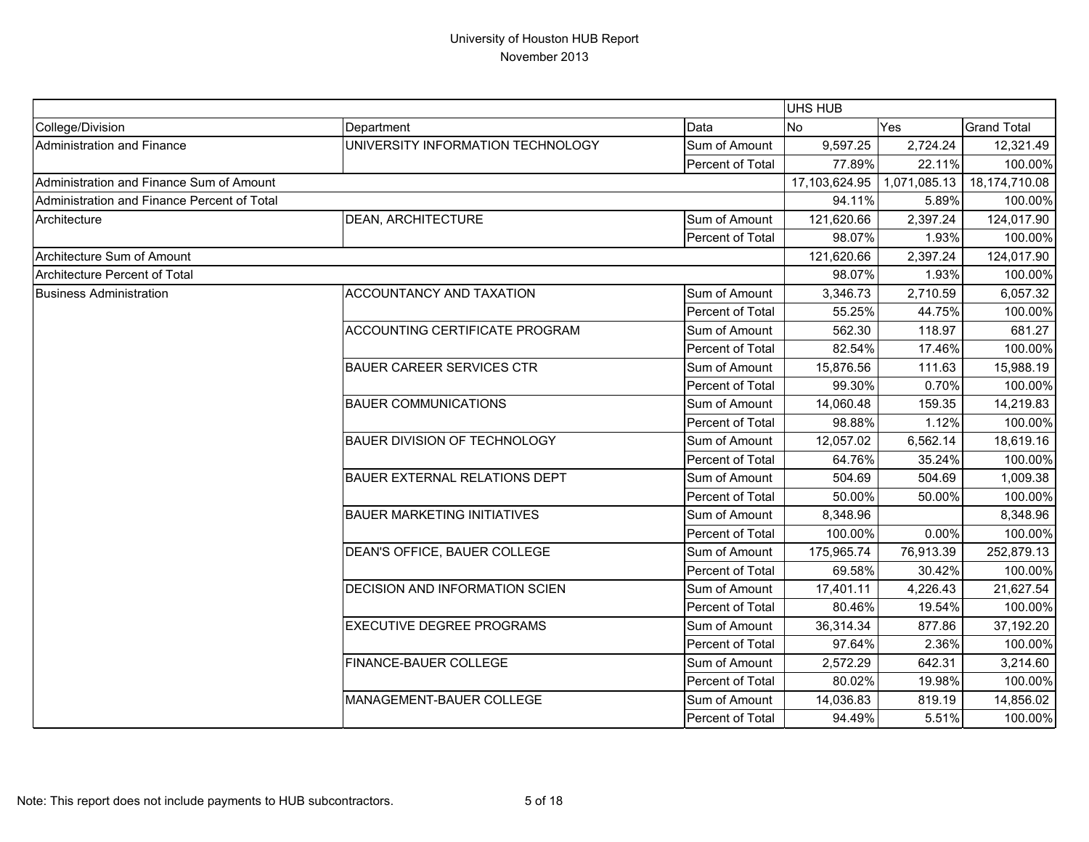|                                             |                                       |                         | UHS HUB        |              |                    |
|---------------------------------------------|---------------------------------------|-------------------------|----------------|--------------|--------------------|
| College/Division                            | Department                            | Data                    | N <sub>o</sub> | Yes          | <b>Grand Total</b> |
| Administration and Finance                  | UNIVERSITY INFORMATION TECHNOLOGY     | Sum of Amount           | 9,597.25       | 2,724.24     | 12,321.49          |
|                                             |                                       | Percent of Total        | 77.89%         | 22.11%       | 100.00%            |
| Administration and Finance Sum of Amount    |                                       |                         | 17,103,624.95  | 1,071,085.13 | 18,174,710.08      |
| Administration and Finance Percent of Total |                                       |                         | 94.11%         | 5.89%        | 100.00%            |
| Architecture                                | <b>DEAN, ARCHITECTURE</b>             | Sum of Amount           | 121,620.66     | 2,397.24     | 124,017.90         |
|                                             |                                       | Percent of Total        | 98.07%         | 1.93%        | 100.00%            |
| Architecture Sum of Amount                  |                                       | 121,620.66              | 2,397.24       | 124,017.90   |                    |
| <b>Architecture Percent of Total</b>        |                                       |                         | 98.07%         | 1.93%        | 100.00%            |
| <b>Business Administration</b>              | ACCOUNTANCY AND TAXATION              | Sum of Amount           | 3,346.73       | 2,710.59     | 6,057.32           |
|                                             |                                       | Percent of Total        | 55.25%         | 44.75%       | 100.00%            |
|                                             | ACCOUNTING CERTIFICATE PROGRAM        | Sum of Amount           | 562.30         | 118.97       | 681.27             |
|                                             |                                       | Percent of Total        | 82.54%         | 17.46%       | 100.00%            |
|                                             | <b>BAUER CAREER SERVICES CTR</b>      | Sum of Amount           | 15,876.56      | 111.63       | 15,988.19          |
|                                             |                                       | Percent of Total        | 99.30%         | 0.70%        | 100.00%            |
|                                             | <b>BAUER COMMUNICATIONS</b>           | Sum of Amount           | 14,060.48      | 159.35       | 14,219.83          |
|                                             |                                       | Percent of Total        | 98.88%         | 1.12%        | 100.00%            |
|                                             | <b>BAUER DIVISION OF TECHNOLOGY</b>   | Sum of Amount           | 12,057.02      | 6,562.14     | 18,619.16          |
|                                             |                                       | Percent of Total        | 64.76%         | 35.24%       | 100.00%            |
|                                             | <b>BAUER EXTERNAL RELATIONS DEPT</b>  | Sum of Amount           | 504.69         | 504.69       | 1,009.38           |
|                                             |                                       | Percent of Total        | 50.00%         | 50.00%       | 100.00%            |
|                                             | <b>BAUER MARKETING INITIATIVES</b>    | Sum of Amount           | 8,348.96       |              | 8,348.96           |
|                                             |                                       | Percent of Total        | 100.00%        | 0.00%        | 100.00%            |
|                                             | DEAN'S OFFICE, BAUER COLLEGE          | Sum of Amount           | 175,965.74     | 76,913.39    | 252,879.13         |
|                                             |                                       | Percent of Total        | 69.58%         | 30.42%       | 100.00%            |
|                                             | <b>DECISION AND INFORMATION SCIEN</b> | Sum of Amount           | 17,401.11      | 4,226.43     | 21,627.54          |
|                                             |                                       | <b>Percent of Total</b> | 80.46%         | 19.54%       | 100.00%            |
|                                             | <b>EXECUTIVE DEGREE PROGRAMS</b>      | Sum of Amount           | 36,314.34      | 877.86       | 37,192.20          |
|                                             |                                       | Percent of Total        | 97.64%         | 2.36%        | 100.00%            |
|                                             | FINANCE-BAUER COLLEGE                 | Sum of Amount           | 2,572.29       | 642.31       | 3,214.60           |
|                                             |                                       | Percent of Total        | 80.02%         | 19.98%       | 100.00%            |
|                                             | MANAGEMENT-BAUER COLLEGE              | Sum of Amount           | 14,036.83      | 819.19       | 14,856.02          |
|                                             |                                       | Percent of Total        | 94.49%         | 5.51%        | 100.00%            |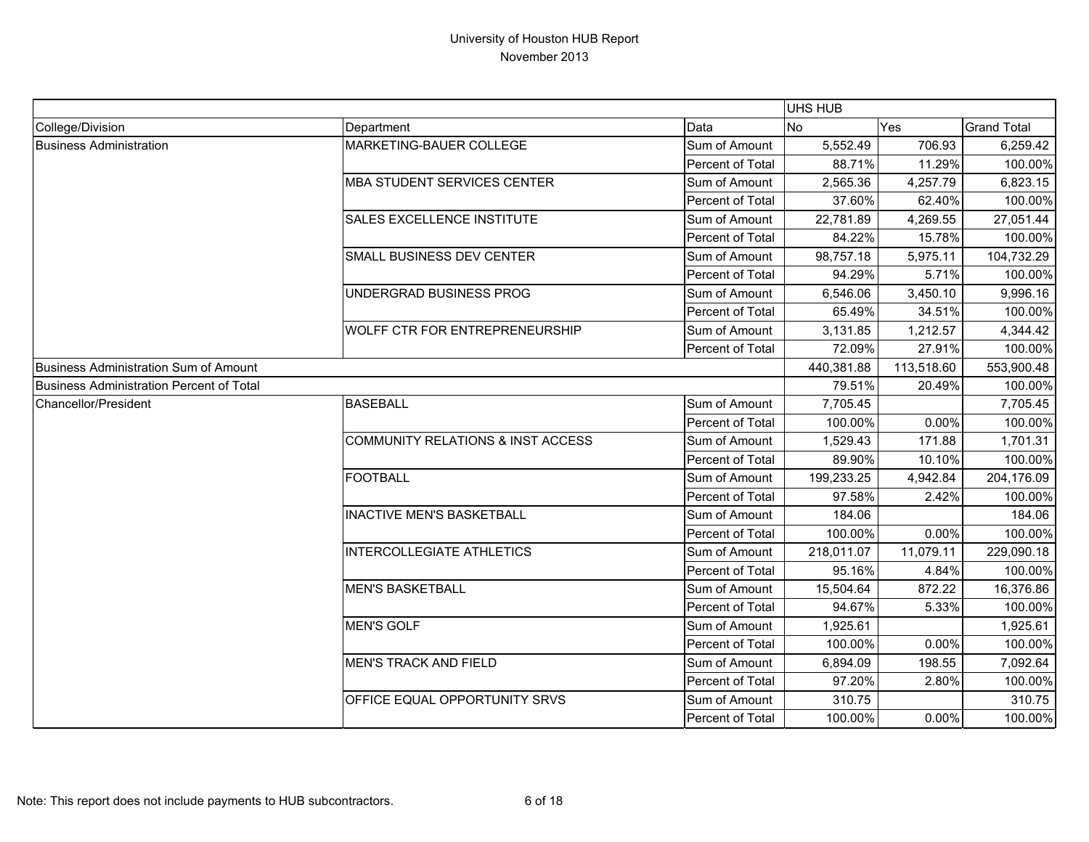|                                          |                                       |                  | UHS HUB    |            |                    |
|------------------------------------------|---------------------------------------|------------------|------------|------------|--------------------|
| College/Division                         | Department                            | Data             | <b>No</b>  | Yes        | <b>Grand Total</b> |
| <b>Business Administration</b>           | MARKETING-BAUER COLLEGE               | Sum of Amount    | 5,552.49   | 706.93     | 6,259.42           |
|                                          |                                       | Percent of Total | 88.71%     | 11.29%     | 100.00%            |
|                                          | <b>MBA STUDENT SERVICES CENTER</b>    | Sum of Amount    | 2,565.36   | 4,257.79   | 6,823.15           |
|                                          |                                       | Percent of Total | 37.60%     | 62.40%     | 100.00%            |
|                                          | <b>SALES EXCELLENCE INSTITUTE</b>     | Sum of Amount    | 22,781.89  | 4,269.55   | 27,051.44          |
|                                          |                                       | Percent of Total | 84.22%     | 15.78%     | 100.00%            |
|                                          | SMALL BUSINESS DEV CENTER             | Sum of Amount    | 98,757.18  | 5,975.11   | 104,732.29         |
|                                          |                                       | Percent of Total | 94.29%     | 5.71%      | 100.00%            |
|                                          | UNDERGRAD BUSINESS PROG               | Sum of Amount    | 6,546.06   | 3,450.10   | 9,996.16           |
|                                          |                                       | Percent of Total | 65.49%     | 34.51%     | 100.00%            |
|                                          | <b>WOLFF CTR FOR ENTREPRENEURSHIP</b> | Sum of Amount    | 3,131.85   | 1,212.57   | 4,344.42           |
|                                          |                                       | Percent of Total | 72.09%     | 27.91%     | 100.00%            |
| Business Administration Sum of Amount    |                                       |                  | 440,381.88 | 113,518.60 | 553,900.48         |
| Business Administration Percent of Total |                                       |                  | 79.51%     | 20.49%     | 100.00%            |
| <b>Chancellor/President</b>              | <b>BASEBALL</b>                       | Sum of Amount    | 7,705.45   |            | 7,705.45           |
|                                          |                                       | Percent of Total | 100.00%    | 0.00%      | 100.00%            |
|                                          | COMMUNITY RELATIONS & INST ACCESS     | Sum of Amount    | 1,529.43   | 171.88     | 1,701.31           |
|                                          |                                       | Percent of Total | 89.90%     | 10.10%     | 100.00%            |
|                                          | <b>FOOTBALL</b>                       | Sum of Amount    | 199,233.25 | 4,942.84   | 204,176.09         |
|                                          |                                       | Percent of Total | 97.58%     | 2.42%      | 100.00%            |
|                                          | <b>INACTIVE MEN'S BASKETBALL</b>      | Sum of Amount    | 184.06     |            | 184.06             |
|                                          |                                       | Percent of Total | 100.00%    | 0.00%      | 100.00%            |
|                                          | INTERCOLLEGIATE ATHLETICS             | Sum of Amount    | 218,011.07 | 11,079.11  | 229,090.18         |
|                                          |                                       | Percent of Total | 95.16%     | 4.84%      | 100.00%            |
|                                          | <b>MEN'S BASKETBALL</b>               | Sum of Amount    | 15,504.64  | 872.22     | 16,376.86          |
|                                          |                                       | Percent of Total | 94.67%     | 5.33%      | 100.00%            |
|                                          | <b>MEN'S GOLF</b>                     | Sum of Amount    | 1,925.61   |            | 1,925.61           |
|                                          |                                       | Percent of Total | 100.00%    | 0.00%      | 100.00%            |
|                                          | <b>MEN'S TRACK AND FIELD</b>          | Sum of Amount    | 6,894.09   | 198.55     | 7,092.64           |
|                                          |                                       | Percent of Total | 97.20%     | 2.80%      | 100.00%            |
|                                          | OFFICE EQUAL OPPORTUNITY SRVS         | Sum of Amount    | 310.75     |            | 310.75             |
|                                          |                                       | Percent of Total | 100.00%    | 0.00%      | 100.00%            |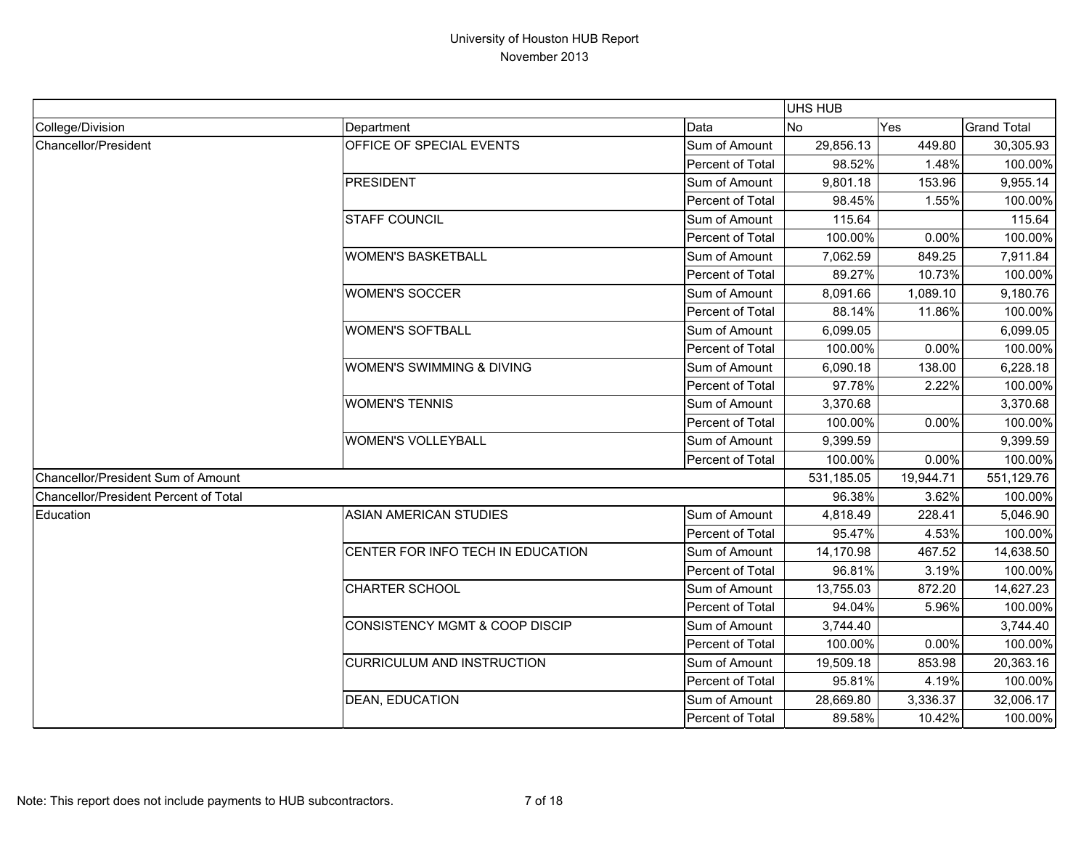|                                       |                                      |                  | UHS HUB    |           |                    |
|---------------------------------------|--------------------------------------|------------------|------------|-----------|--------------------|
| College/Division                      | Department                           | Data             | <b>No</b>  | Yes       | <b>Grand Total</b> |
| Chancellor/President                  | OFFICE OF SPECIAL EVENTS             | Sum of Amount    | 29,856.13  | 449.80    | 30,305.93          |
|                                       |                                      | Percent of Total | 98.52%     | 1.48%     | 100.00%            |
|                                       | <b>PRESIDENT</b>                     | Sum of Amount    | 9,801.18   | 153.96    | 9,955.14           |
|                                       |                                      | Percent of Total | 98.45%     | 1.55%     | 100.00%            |
|                                       | <b>STAFF COUNCIL</b>                 | Sum of Amount    | 115.64     |           | 115.64             |
|                                       |                                      | Percent of Total | 100.00%    | 0.00%     | 100.00%            |
|                                       | <b>WOMEN'S BASKETBALL</b>            | Sum of Amount    | 7,062.59   | 849.25    | 7,911.84           |
|                                       |                                      | Percent of Total | 89.27%     | 10.73%    | 100.00%            |
|                                       | <b>WOMEN'S SOCCER</b>                | Sum of Amount    | 8,091.66   | 1,089.10  | 9,180.76           |
|                                       |                                      | Percent of Total | 88.14%     | 11.86%    | 100.00%            |
|                                       | <b>WOMEN'S SOFTBALL</b>              | Sum of Amount    | 6,099.05   |           | 6,099.05           |
|                                       |                                      | Percent of Total | 100.00%    | 0.00%     | 100.00%            |
|                                       | <b>WOMEN'S SWIMMING &amp; DIVING</b> | Sum of Amount    | 6,090.18   | 138.00    | 6,228.18           |
|                                       |                                      | Percent of Total | 97.78%     | 2.22%     | 100.00%            |
|                                       | <b>WOMEN'S TENNIS</b>                | Sum of Amount    | 3,370.68   |           | 3,370.68           |
|                                       |                                      | Percent of Total | 100.00%    | 0.00%     | 100.00%            |
|                                       | <b>WOMEN'S VOLLEYBALL</b>            | Sum of Amount    | 9,399.59   |           | 9,399.59           |
|                                       |                                      | Percent of Total | 100.00%    | 0.00%     | 100.00%            |
| Chancellor/President Sum of Amount    |                                      |                  | 531,185.05 | 19,944.71 | 551,129.76         |
| Chancellor/President Percent of Total |                                      |                  | 96.38%     | 3.62%     | 100.00%            |
| Education                             | <b>ASIAN AMERICAN STUDIES</b>        | Sum of Amount    | 4,818.49   | 228.41    | 5,046.90           |
|                                       |                                      | Percent of Total | 95.47%     | 4.53%     | 100.00%            |
|                                       | CENTER FOR INFO TECH IN EDUCATION    | Sum of Amount    | 14,170.98  | 467.52    | 14,638.50          |
|                                       |                                      | Percent of Total | 96.81%     | 3.19%     | 100.00%            |
|                                       | <b>CHARTER SCHOOL</b>                | Sum of Amount    | 13,755.03  | 872.20    | 14,627.23          |
|                                       |                                      | Percent of Total | 94.04%     | 5.96%     | 100.00%            |
|                                       | CONSISTENCY MGMT & COOP DISCIP       | Sum of Amount    | 3,744.40   |           | 3,744.40           |
|                                       |                                      | Percent of Total | 100.00%    | 0.00%     | 100.00%            |
|                                       | <b>CURRICULUM AND INSTRUCTION</b>    | Sum of Amount    | 19,509.18  | 853.98    | 20,363.16          |
|                                       |                                      | Percent of Total | 95.81%     | 4.19%     | 100.00%            |
|                                       | <b>DEAN, EDUCATION</b>               | Sum of Amount    | 28,669.80  | 3,336.37  | 32,006.17          |
|                                       |                                      | Percent of Total | 89.58%     | 10.42%    | 100.00%            |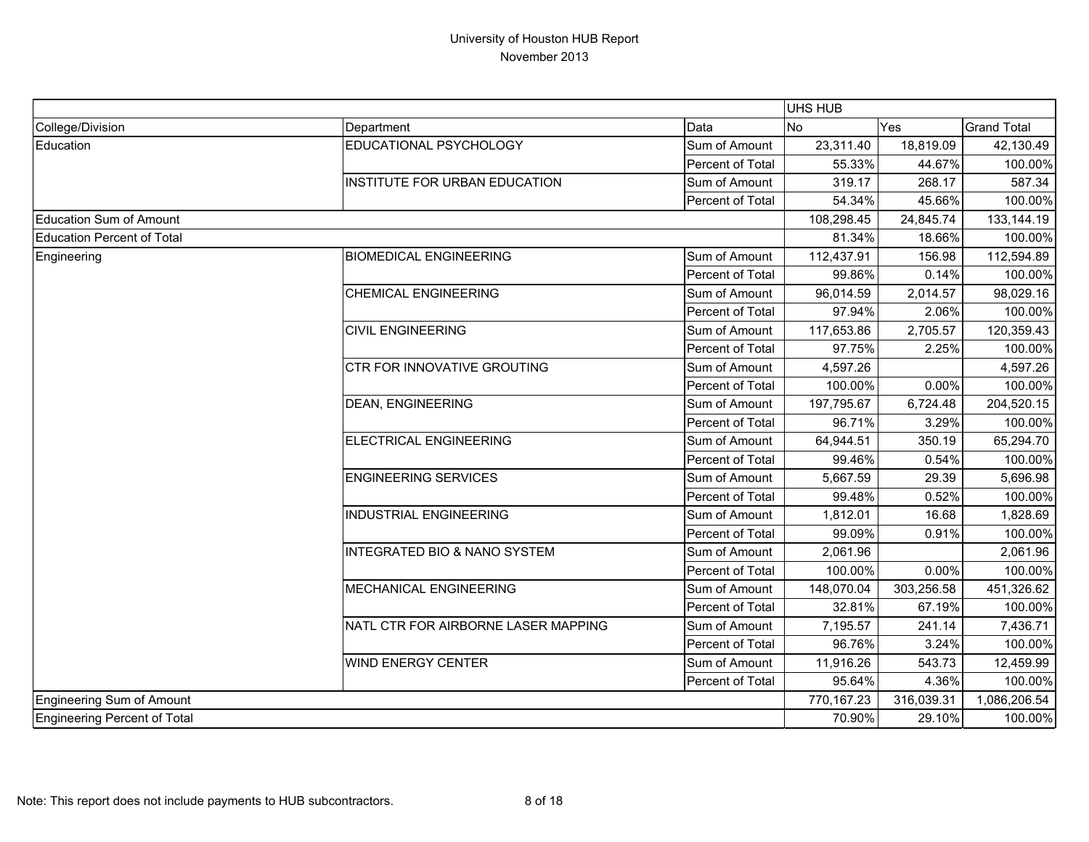|                                   |                                         |                  | UHS HUB    |            |                    |
|-----------------------------------|-----------------------------------------|------------------|------------|------------|--------------------|
| College/Division                  | Department                              | Data             | <b>No</b>  | Yes        | <b>Grand Total</b> |
| Education                         | EDUCATIONAL PSYCHOLOGY                  | Sum of Amount    | 23,311.40  | 18,819.09  | 42,130.49          |
|                                   |                                         | Percent of Total | 55.33%     | 44.67%     | 100.00%            |
|                                   | INSTITUTE FOR URBAN EDUCATION           | Sum of Amount    | 319.17     | 268.17     | 587.34             |
|                                   |                                         | Percent of Total | 54.34%     | 45.66%     | 100.00%            |
| Education Sum of Amount           |                                         |                  | 108,298.45 | 24,845.74  | 133,144.19         |
| <b>Education Percent of Total</b> |                                         |                  | 81.34%     | 18.66%     | 100.00%            |
| Engineering                       | <b>BIOMEDICAL ENGINEERING</b>           | Sum of Amount    | 112,437.91 | 156.98     | 112,594.89         |
|                                   |                                         | Percent of Total | 99.86%     | 0.14%      | 100.00%            |
|                                   | <b>CHEMICAL ENGINEERING</b>             | Sum of Amount    | 96,014.59  | 2,014.57   | 98,029.16          |
|                                   |                                         | Percent of Total | 97.94%     | 2.06%      | 100.00%            |
|                                   | <b>CIVIL ENGINEERING</b>                | Sum of Amount    | 117,653.86 | 2,705.57   | 120,359.43         |
|                                   |                                         | Percent of Total | 97.75%     | 2.25%      | 100.00%            |
|                                   | <b>CTR FOR INNOVATIVE GROUTING</b>      | Sum of Amount    | 4,597.26   |            | 4,597.26           |
|                                   |                                         | Percent of Total | 100.00%    | 0.00%      | 100.00%            |
|                                   | <b>DEAN, ENGINEERING</b>                | Sum of Amount    | 197,795.67 | 6,724.48   | 204,520.15         |
|                                   |                                         | Percent of Total | 96.71%     | 3.29%      | 100.00%            |
|                                   | <b>ELECTRICAL ENGINEERING</b>           | Sum of Amount    | 64,944.51  | 350.19     | 65,294.70          |
|                                   |                                         | Percent of Total | 99.46%     | 0.54%      | 100.00%            |
|                                   | <b>ENGINEERING SERVICES</b>             | Sum of Amount    | 5,667.59   | 29.39      | 5,696.98           |
|                                   |                                         | Percent of Total | 99.48%     | 0.52%      | 100.00%            |
|                                   | <b>INDUSTRIAL ENGINEERING</b>           | Sum of Amount    | 1,812.01   | 16.68      | 1,828.69           |
|                                   |                                         | Percent of Total | 99.09%     | 0.91%      | 100.00%            |
|                                   | <b>INTEGRATED BIO &amp; NANO SYSTEM</b> | Sum of Amount    | 2,061.96   |            | 2,061.96           |
|                                   |                                         | Percent of Total | 100.00%    | 0.00%      | 100.00%            |
|                                   | MECHANICAL ENGINEERING                  | Sum of Amount    | 148,070.04 | 303,256.58 | 451,326.62         |
|                                   |                                         | Percent of Total | 32.81%     | 67.19%     | 100.00%            |
|                                   | NATL CTR FOR AIRBORNE LASER MAPPING     | Sum of Amount    | 7,195.57   | 241.14     | 7,436.71           |
|                                   |                                         | Percent of Total | 96.76%     | 3.24%      | 100.00%            |
|                                   | <b>WIND ENERGY CENTER</b>               | Sum of Amount    | 11,916.26  | 543.73     | 12,459.99          |
|                                   |                                         | Percent of Total | 95.64%     | 4.36%      | 100.00%            |
| Engineering Sum of Amount         |                                         |                  | 770,167.23 | 316,039.31 | 1,086,206.54       |
| Engineering Percent of Total      |                                         |                  | 70.90%     | 29.10%     | 100.00%            |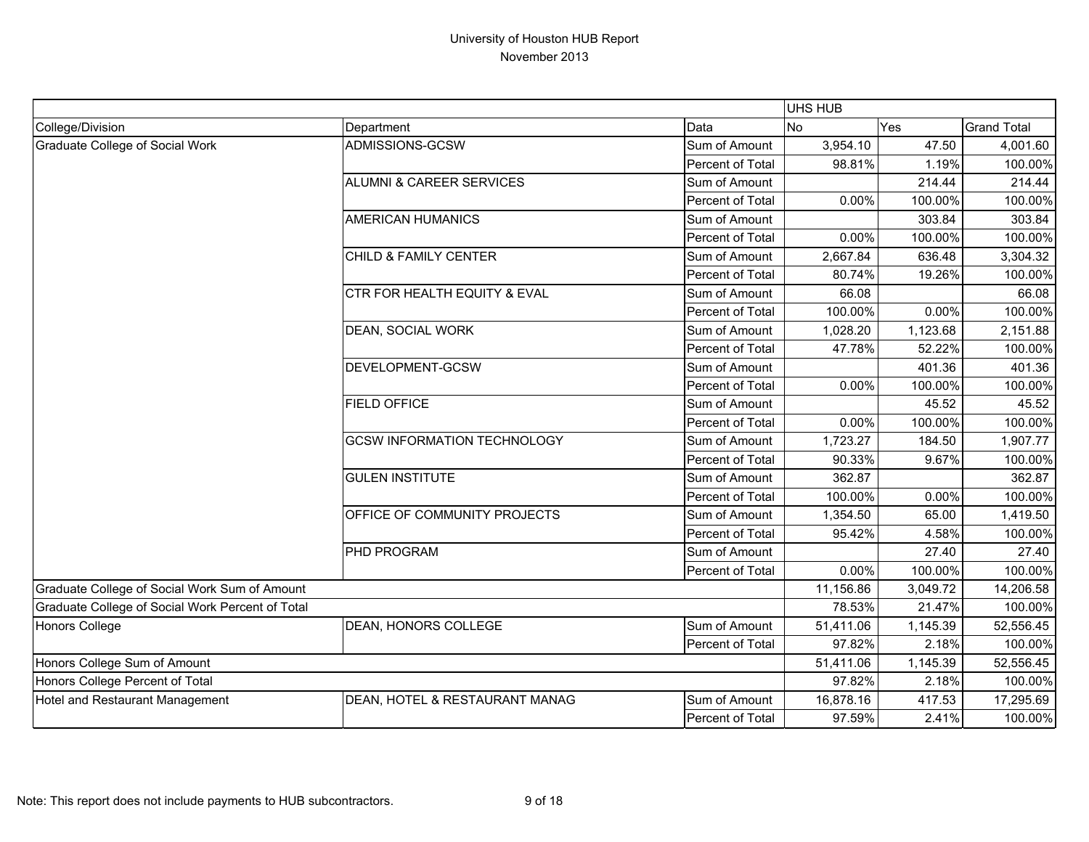|                                                  |                                         |                  | UHS HUB   |          |                    |
|--------------------------------------------------|-----------------------------------------|------------------|-----------|----------|--------------------|
| College/Division                                 | Department                              | Data             | No        | Yes      | <b>Grand Total</b> |
| Graduate College of Social Work                  | ADMISSIONS-GCSW                         | Sum of Amount    | 3,954.10  | 47.50    | 4,001.60           |
|                                                  |                                         | Percent of Total | 98.81%    | 1.19%    | 100.00%            |
|                                                  | <b>ALUMNI &amp; CAREER SERVICES</b>     | Sum of Amount    |           | 214.44   | 214.44             |
|                                                  |                                         | Percent of Total | 0.00%     | 100.00%  | 100.00%            |
|                                                  | <b>AMERICAN HUMANICS</b>                | Sum of Amount    |           | 303.84   | 303.84             |
|                                                  |                                         | Percent of Total | 0.00%     | 100.00%  | 100.00%            |
|                                                  | <b>CHILD &amp; FAMILY CENTER</b>        | Sum of Amount    | 2,667.84  | 636.48   | 3,304.32           |
|                                                  |                                         | Percent of Total | 80.74%    | 19.26%   | 100.00%            |
|                                                  | <b>CTR FOR HEALTH EQUITY &amp; EVAL</b> | Sum of Amount    | 66.08     |          | 66.08              |
|                                                  |                                         | Percent of Total | 100.00%   | 0.00%    | 100.00%            |
|                                                  | <b>DEAN, SOCIAL WORK</b>                | Sum of Amount    | 1,028.20  | 1,123.68 | 2,151.88           |
|                                                  |                                         | Percent of Total | 47.78%    | 52.22%   | 100.00%            |
|                                                  | <b>DEVELOPMENT-GCSW</b>                 | Sum of Amount    |           | 401.36   | 401.36             |
|                                                  |                                         | Percent of Total | 0.00%     | 100.00%  | 100.00%            |
|                                                  | <b>FIELD OFFICE</b>                     | Sum of Amount    |           | 45.52    | 45.52              |
|                                                  |                                         | Percent of Total | 0.00%     | 100.00%  | 100.00%            |
|                                                  | <b>GCSW INFORMATION TECHNOLOGY</b>      | Sum of Amount    | 1,723.27  | 184.50   | 1,907.77           |
|                                                  |                                         | Percent of Total | 90.33%    | 9.67%    | 100.00%            |
|                                                  | <b>GULEN INSTITUTE</b>                  | Sum of Amount    | 362.87    |          | 362.87             |
|                                                  |                                         | Percent of Total | 100.00%   | 0.00%    | 100.00%            |
|                                                  | <b>OFFICE OF COMMUNITY PROJECTS</b>     | Sum of Amount    | 1,354.50  | 65.00    | 1,419.50           |
|                                                  |                                         | Percent of Total | 95.42%    | 4.58%    | 100.00%            |
|                                                  | <b>PHD PROGRAM</b>                      | Sum of Amount    |           | 27.40    | 27.40              |
|                                                  |                                         | Percent of Total | 0.00%     | 100.00%  | 100.00%            |
| Graduate College of Social Work Sum of Amount    |                                         |                  | 11,156.86 | 3,049.72 | 14,206.58          |
| Graduate College of Social Work Percent of Total |                                         |                  | 78.53%    | 21.47%   | 100.00%            |
| Honors College                                   | <b>DEAN, HONORS COLLEGE</b>             | Sum of Amount    | 51,411.06 | 1,145.39 | 52,556.45          |
|                                                  |                                         | Percent of Total | 97.82%    | 2.18%    | 100.00%            |
| Honors College Sum of Amount                     |                                         |                  | 51,411.06 | 1,145.39 | 52,556.45          |
| Honors College Percent of Total                  |                                         |                  | 97.82%    | 2.18%    | 100.00%            |
| Hotel and Restaurant Management                  | DEAN, HOTEL & RESTAURANT MANAG          | Sum of Amount    | 16,878.16 | 417.53   | 17,295.69          |
|                                                  |                                         | Percent of Total | 97.59%    | 2.41%    | 100.00%            |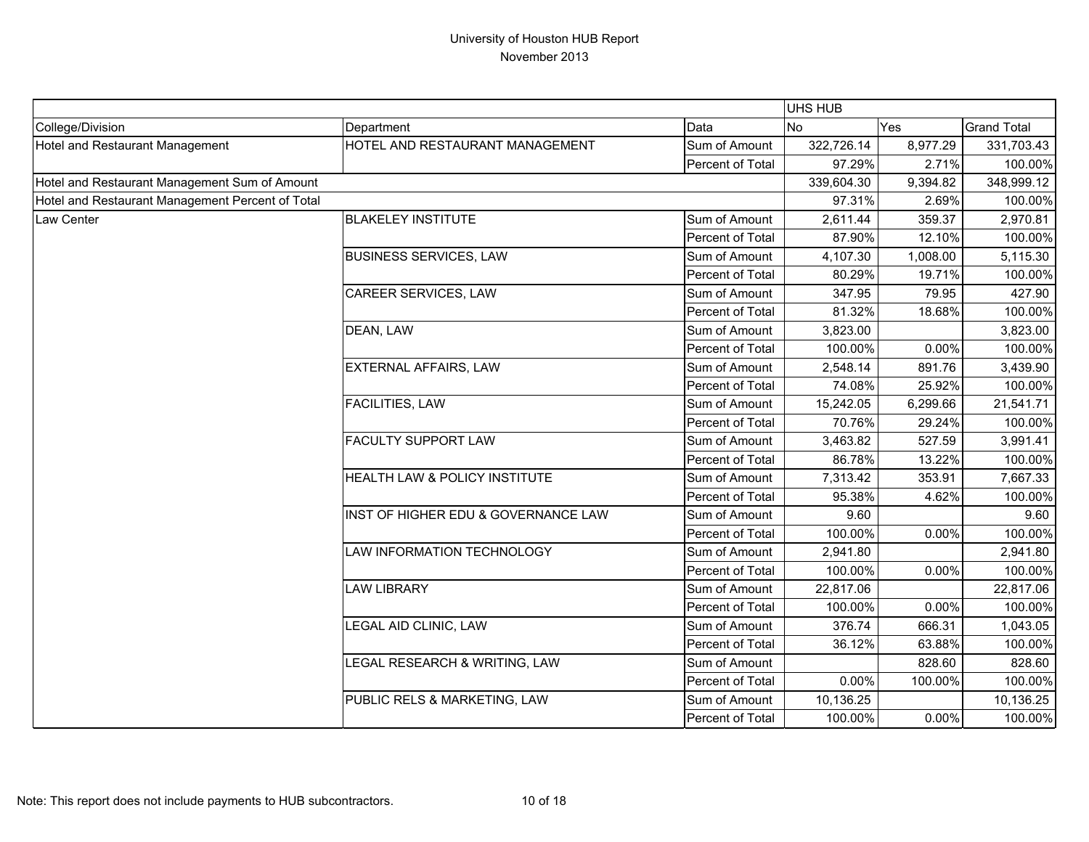|                                                  |                                     |                  | UHS HUB    |          |                    |
|--------------------------------------------------|-------------------------------------|------------------|------------|----------|--------------------|
| College/Division                                 | Department                          | Data             | <b>No</b>  | Yes      | <b>Grand Total</b> |
| Hotel and Restaurant Management                  | HOTEL AND RESTAURANT MANAGEMENT     | Sum of Amount    | 322,726.14 | 8,977.29 | 331,703.43         |
|                                                  |                                     | Percent of Total | 97.29%     | 2.71%    | 100.00%            |
| Hotel and Restaurant Management Sum of Amount    |                                     |                  | 339,604.30 | 9,394.82 | 348,999.12         |
| Hotel and Restaurant Management Percent of Total |                                     |                  | 97.31%     | 2.69%    | 100.00%            |
| Law Center                                       | <b>BLAKELEY INSTITUTE</b>           | Sum of Amount    | 2,611.44   | 359.37   | 2,970.81           |
|                                                  |                                     | Percent of Total | 87.90%     | 12.10%   | 100.00%            |
|                                                  | <b>BUSINESS SERVICES, LAW</b>       | Sum of Amount    | 4,107.30   | 1,008.00 | 5,115.30           |
|                                                  |                                     | Percent of Total | 80.29%     | 19.71%   | 100.00%            |
|                                                  | <b>CAREER SERVICES, LAW</b>         | Sum of Amount    | 347.95     | 79.95    | 427.90             |
|                                                  |                                     | Percent of Total | 81.32%     | 18.68%   | 100.00%            |
|                                                  | DEAN, LAW                           | Sum of Amount    | 3,823.00   |          | 3,823.00           |
|                                                  |                                     | Percent of Total | 100.00%    | 0.00%    | 100.00%            |
|                                                  | <b>EXTERNAL AFFAIRS, LAW</b>        | Sum of Amount    | 2,548.14   | 891.76   | 3,439.90           |
|                                                  |                                     | Percent of Total | 74.08%     | 25.92%   | 100.00%            |
|                                                  | FACILITIES, LAW                     | Sum of Amount    | 15,242.05  | 6,299.66 | 21,541.71          |
|                                                  |                                     | Percent of Total | 70.76%     | 29.24%   | 100.00%            |
|                                                  | <b>FACULTY SUPPORT LAW</b>          | Sum of Amount    | 3,463.82   | 527.59   | 3,991.41           |
|                                                  |                                     | Percent of Total | 86.78%     | 13.22%   | 100.00%            |
|                                                  | HEALTH LAW & POLICY INSTITUTE       | Sum of Amount    | 7,313.42   | 353.91   | 7,667.33           |
|                                                  |                                     | Percent of Total | 95.38%     | 4.62%    | 100.00%            |
|                                                  | INST OF HIGHER EDU & GOVERNANCE LAW | Sum of Amount    | 9.60       |          | 9.60               |
|                                                  |                                     | Percent of Total | 100.00%    | 0.00%    | 100.00%            |
|                                                  | <b>LAW INFORMATION TECHNOLOGY</b>   | Sum of Amount    | 2,941.80   |          | 2,941.80           |
|                                                  |                                     | Percent of Total | 100.00%    | 0.00%    | 100.00%            |
|                                                  | <b>LAW LIBRARY</b>                  | Sum of Amount    | 22,817.06  |          | 22,817.06          |
|                                                  |                                     | Percent of Total | 100.00%    | 0.00%    | 100.00%            |
|                                                  | LEGAL AID CLINIC, LAW               | Sum of Amount    | 376.74     | 666.31   | 1,043.05           |
|                                                  |                                     | Percent of Total | 36.12%     | 63.88%   | 100.00%            |
|                                                  | LEGAL RESEARCH & WRITING, LAW       | Sum of Amount    |            | 828.60   | 828.60             |
|                                                  |                                     | Percent of Total | 0.00%      | 100.00%  | 100.00%            |
|                                                  | PUBLIC RELS & MARKETING, LAW        | Sum of Amount    | 10,136.25  |          | 10,136.25          |
|                                                  |                                     | Percent of Total | 100.00%    | $0.00\%$ | 100.00%            |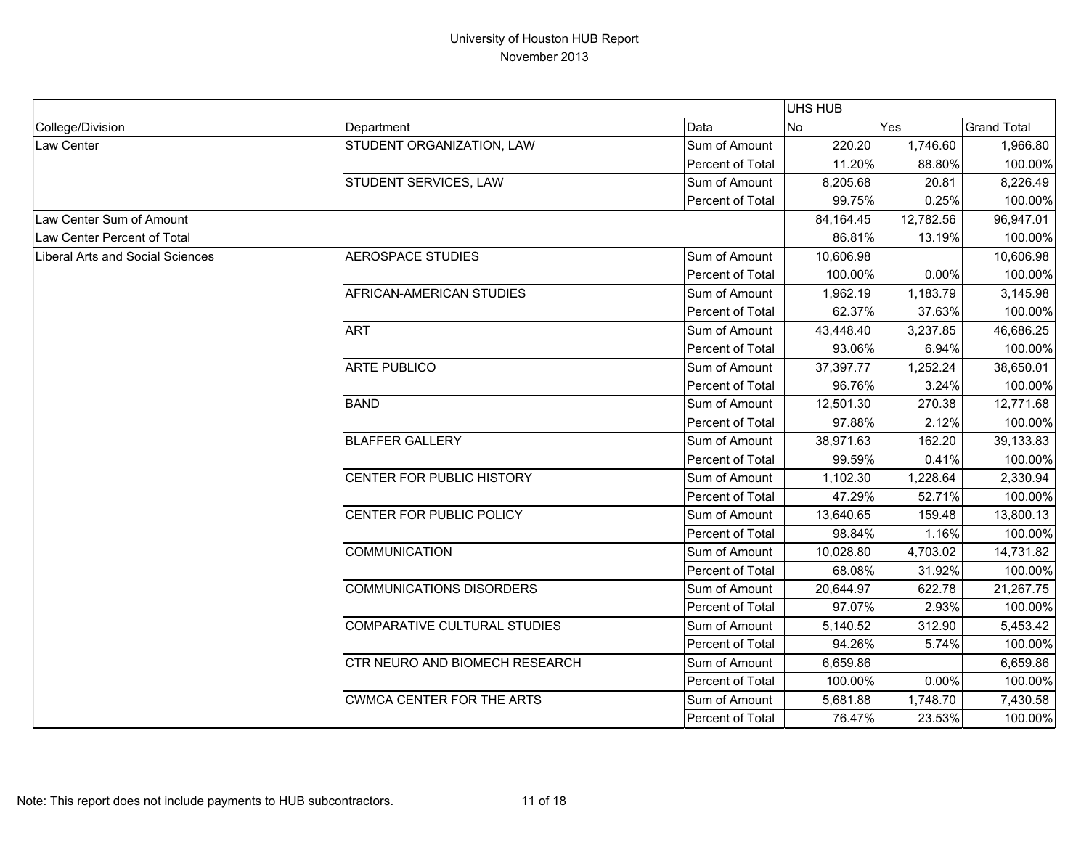|                                  |                                  |                  | UHS HUB   |           |                    |
|----------------------------------|----------------------------------|------------------|-----------|-----------|--------------------|
| College/Division                 | Department                       | Data             | No        | Yes       | <b>Grand Total</b> |
| Law Center                       | STUDENT ORGANIZATION, LAW        | Sum of Amount    | 220.20    | 1,746.60  | 1,966.80           |
|                                  |                                  | Percent of Total | 11.20%    | 88.80%    | 100.00%            |
|                                  | STUDENT SERVICES, LAW            | Sum of Amount    | 8,205.68  | 20.81     | 8,226.49           |
|                                  |                                  | Percent of Total | 99.75%    | 0.25%     | 100.00%            |
| Law Center Sum of Amount         |                                  |                  | 84,164.45 | 12,782.56 | 96,947.01          |
| Law Center Percent of Total      |                                  |                  | 86.81%    | 13.19%    | 100.00%            |
| Liberal Arts and Social Sciences | <b>AEROSPACE STUDIES</b>         | Sum of Amount    | 10,606.98 |           | 10,606.98          |
|                                  |                                  | Percent of Total | 100.00%   | 0.00%     | 100.00%            |
|                                  | AFRICAN-AMERICAN STUDIES         | Sum of Amount    | 1,962.19  | 1,183.79  | 3,145.98           |
|                                  |                                  | Percent of Total | 62.37%    | 37.63%    | 100.00%            |
|                                  | <b>ART</b>                       | Sum of Amount    | 43,448.40 | 3,237.85  | 46,686.25          |
|                                  |                                  | Percent of Total | 93.06%    | 6.94%     | 100.00%            |
|                                  | <b>ARTE PUBLICO</b>              | Sum of Amount    | 37,397.77 | 1,252.24  | 38,650.01          |
|                                  |                                  | Percent of Total | 96.76%    | 3.24%     | 100.00%            |
|                                  | <b>BAND</b>                      | Sum of Amount    | 12,501.30 | 270.38    | 12,771.68          |
|                                  |                                  | Percent of Total | 97.88%    | 2.12%     | 100.00%            |
|                                  | <b>BLAFFER GALLERY</b>           | Sum of Amount    | 38,971.63 | 162.20    | 39,133.83          |
|                                  |                                  | Percent of Total | 99.59%    | 0.41%     | 100.00%            |
|                                  | CENTER FOR PUBLIC HISTORY        | Sum of Amount    | 1,102.30  | 1,228.64  | 2,330.94           |
|                                  |                                  | Percent of Total | 47.29%    | 52.71%    | 100.00%            |
|                                  | CENTER FOR PUBLIC POLICY         | Sum of Amount    | 13,640.65 | 159.48    | 13,800.13          |
|                                  |                                  | Percent of Total | 98.84%    | 1.16%     | 100.00%            |
|                                  | <b>COMMUNICATION</b>             | Sum of Amount    | 10,028.80 | 4,703.02  | 14,731.82          |
|                                  |                                  | Percent of Total | 68.08%    | 31.92%    | 100.00%            |
|                                  | <b>COMMUNICATIONS DISORDERS</b>  | Sum of Amount    | 20,644.97 | 622.78    | 21,267.75          |
|                                  |                                  | Percent of Total | 97.07%    | 2.93%     | 100.00%            |
|                                  | COMPARATIVE CULTURAL STUDIES     | Sum of Amount    | 5,140.52  | 312.90    | 5,453.42           |
|                                  |                                  | Percent of Total | 94.26%    | 5.74%     | 100.00%            |
|                                  | CTR NEURO AND BIOMECH RESEARCH   | Sum of Amount    | 6,659.86  |           | 6,659.86           |
|                                  |                                  | Percent of Total | 100.00%   | 0.00%     | 100.00%            |
|                                  | <b>CWMCA CENTER FOR THE ARTS</b> | Sum of Amount    | 5,681.88  | 1,748.70  | 7,430.58           |
|                                  |                                  | Percent of Total | 76.47%    | 23.53%    | 100.00%            |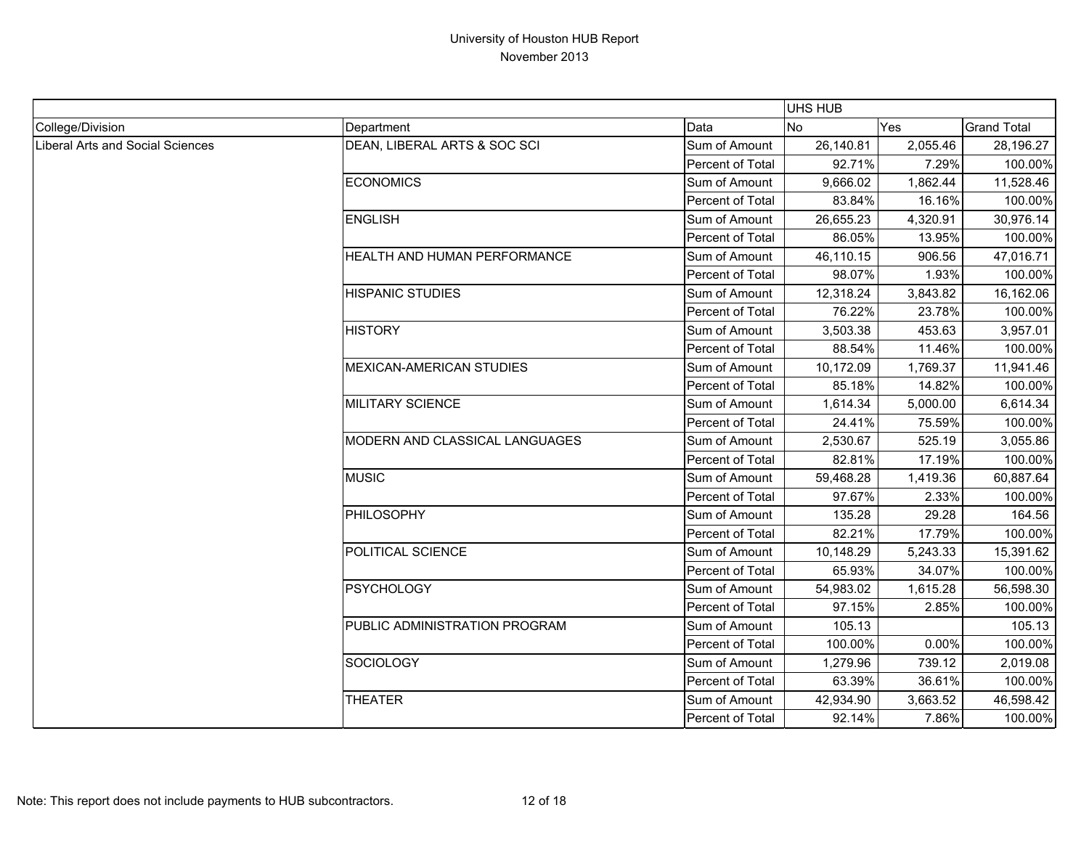|                                  |                                 |                  | <b>UHS HUB</b> |          |                    |
|----------------------------------|---------------------------------|------------------|----------------|----------|--------------------|
| College/Division                 | Department                      | Data             | <b>No</b>      | Yes      | <b>Grand Total</b> |
| Liberal Arts and Social Sciences | DEAN, LIBERAL ARTS & SOC SCI    | Sum of Amount    | 26,140.81      | 2,055.46 | 28,196.27          |
|                                  |                                 | Percent of Total | 92.71%         | 7.29%    | 100.00%            |
|                                  | <b>ECONOMICS</b>                | Sum of Amount    | 9,666.02       | 1,862.44 | 11,528.46          |
|                                  |                                 | Percent of Total | 83.84%         | 16.16%   | 100.00%            |
|                                  | <b>ENGLISH</b>                  | Sum of Amount    | 26,655.23      | 4,320.91 | 30,976.14          |
|                                  |                                 | Percent of Total | 86.05%         | 13.95%   | 100.00%            |
|                                  | HEALTH AND HUMAN PERFORMANCE    | Sum of Amount    | 46,110.15      | 906.56   | 47,016.71          |
|                                  |                                 | Percent of Total | 98.07%         | 1.93%    | 100.00%            |
|                                  | <b>HISPANIC STUDIES</b>         | Sum of Amount    | 12,318.24      | 3,843.82 | 16,162.06          |
|                                  |                                 | Percent of Total | 76.22%         | 23.78%   | 100.00%            |
|                                  | <b>HISTORY</b>                  | Sum of Amount    | 3,503.38       | 453.63   | 3,957.01           |
|                                  |                                 | Percent of Total | 88.54%         | 11.46%   | 100.00%            |
|                                  | <b>MEXICAN-AMERICAN STUDIES</b> | Sum of Amount    | 10,172.09      | 1,769.37 | 11,941.46          |
|                                  |                                 | Percent of Total | 85.18%         | 14.82%   | 100.00%            |
|                                  | <b>MILITARY SCIENCE</b>         | Sum of Amount    | 1,614.34       | 5,000.00 | 6,614.34           |
|                                  |                                 | Percent of Total | 24.41%         | 75.59%   | 100.00%            |
|                                  | MODERN AND CLASSICAL LANGUAGES  | Sum of Amount    | 2,530.67       | 525.19   | 3,055.86           |
|                                  |                                 | Percent of Total | 82.81%         | 17.19%   | 100.00%            |
|                                  | <b>MUSIC</b>                    | Sum of Amount    | 59,468.28      | 1,419.36 | 60,887.64          |
|                                  |                                 | Percent of Total | 97.67%         | 2.33%    | 100.00%            |
|                                  | <b>PHILOSOPHY</b>               | Sum of Amount    | 135.28         | 29.28    | 164.56             |
|                                  |                                 | Percent of Total | 82.21%         | 17.79%   | 100.00%            |
|                                  | POLITICAL SCIENCE               | Sum of Amount    | 10,148.29      | 5,243.33 | 15,391.62          |
|                                  |                                 | Percent of Total | 65.93%         | 34.07%   | 100.00%            |
|                                  | <b>PSYCHOLOGY</b>               | Sum of Amount    | 54,983.02      | 1,615.28 | 56,598.30          |
|                                  |                                 | Percent of Total | 97.15%         | 2.85%    | 100.00%            |
|                                  | PUBLIC ADMINISTRATION PROGRAM   | Sum of Amount    | 105.13         |          | 105.13             |
|                                  |                                 | Percent of Total | 100.00%        | 0.00%    | 100.00%            |
|                                  | <b>SOCIOLOGY</b>                | Sum of Amount    | 1,279.96       | 739.12   | 2,019.08           |
|                                  |                                 | Percent of Total | 63.39%         | 36.61%   | 100.00%            |
|                                  | <b>THEATER</b>                  | Sum of Amount    | 42,934.90      | 3,663.52 | 46,598.42          |
|                                  |                                 | Percent of Total | 92.14%         | 7.86%    | 100.00%            |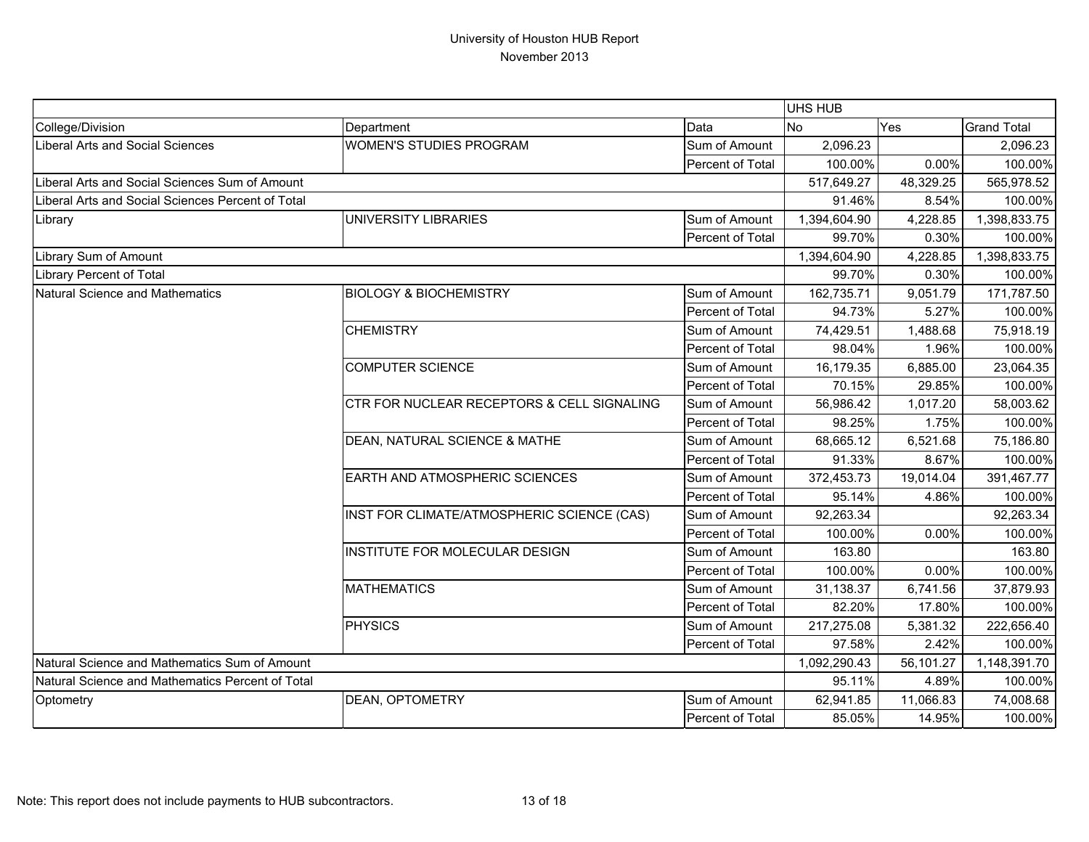|                                                   |                                                                        |                  | UHS HUB      |           |                    |
|---------------------------------------------------|------------------------------------------------------------------------|------------------|--------------|-----------|--------------------|
| College/Division                                  | Department                                                             | Data             | <b>No</b>    | Yes       | <b>Grand Total</b> |
| <b>Liberal Arts and Social Sciences</b>           | <b>WOMEN'S STUDIES PROGRAM</b>                                         | Sum of Amount    | 2,096.23     |           | 2,096.23           |
|                                                   |                                                                        | Percent of Total | 100.00%      | 0.00%     | 100.00%            |
| Liberal Arts and Social Sciences Sum of Amount    |                                                                        |                  | 517,649.27   | 48,329.25 | 565,978.52         |
| Liberal Arts and Social Sciences Percent of Total |                                                                        |                  | 91.46%       | 8.54%     | 100.00%            |
| Library                                           | UNIVERSITY LIBRARIES                                                   | Sum of Amount    | 1,394,604.90 | 4,228.85  | 1,398,833.75       |
|                                                   |                                                                        | Percent of Total | 99.70%       | 0.30%     | 100.00%            |
| Library Sum of Amount                             |                                                                        |                  | 1,394,604.90 | 4,228.85  | 1,398,833.75       |
| <b>Library Percent of Total</b>                   |                                                                        |                  | 99.70%       | 0.30%     | 100.00%            |
| <b>Natural Science and Mathematics</b>            | <b>BIOLOGY &amp; BIOCHEMISTRY</b>                                      | Sum of Amount    | 162,735.71   | 9,051.79  | 171,787.50         |
|                                                   |                                                                        | Percent of Total | 94.73%       | 5.27%     | 100.00%            |
|                                                   | <b>CHEMISTRY</b>                                                       | Sum of Amount    | 74,429.51    | 1,488.68  | 75,918.19          |
|                                                   |                                                                        | Percent of Total | 98.04%       | 1.96%     | 100.00%            |
|                                                   | <b>COMPUTER SCIENCE</b>                                                | Sum of Amount    | 16,179.35    | 6,885.00  | 23,064.35          |
|                                                   |                                                                        | Percent of Total | 70.15%       | 29.85%    | 100.00%            |
|                                                   | CTR FOR NUCLEAR RECEPTORS & CELL SIGNALING                             | Sum of Amount    | 56,986.42    | 1,017.20  | 58,003.62          |
|                                                   |                                                                        | Percent of Total | 98.25%       | 1.75%     | 100.00%            |
|                                                   | DEAN, NATURAL SCIENCE & MATHE<br><b>EARTH AND ATMOSPHERIC SCIENCES</b> | Sum of Amount    | 68,665.12    | 6,521.68  | 75,186.80          |
|                                                   |                                                                        | Percent of Total | 91.33%       | 8.67%     | 100.00%            |
|                                                   |                                                                        | Sum of Amount    | 372,453.73   | 19,014.04 | 391,467.77         |
|                                                   |                                                                        | Percent of Total | 95.14%       | 4.86%     | 100.00%            |
|                                                   | INST FOR CLIMATE/ATMOSPHERIC SCIENCE (CAS)                             | Sum of Amount    | 92,263.34    |           | 92,263.34          |
|                                                   |                                                                        | Percent of Total | 100.00%      | 0.00%     | 100.00%            |
|                                                   | INSTITUTE FOR MOLECULAR DESIGN                                         | Sum of Amount    | 163.80       |           | 163.80             |
|                                                   |                                                                        | Percent of Total | 100.00%      | 0.00%     | 100.00%            |
|                                                   | <b>MATHEMATICS</b>                                                     | Sum of Amount    | 31,138.37    | 6,741.56  | 37,879.93          |
|                                                   |                                                                        | Percent of Total | 82.20%       | 17.80%    | 100.00%            |
|                                                   | PHYSICS                                                                | Sum of Amount    | 217,275.08   | 5,381.32  | 222,656.40         |
|                                                   |                                                                        | Percent of Total | 97.58%       | 2.42%     | 100.00%            |
| Natural Science and Mathematics Sum of Amount     |                                                                        |                  | 1,092,290.43 | 56,101.27 | 1,148,391.70       |
| Natural Science and Mathematics Percent of Total  |                                                                        | 95.11%           | 4.89%        | 100.00%   |                    |
| Optometry                                         | DEAN, OPTOMETRY                                                        | Sum of Amount    | 62,941.85    | 11,066.83 | 74,008.68          |
|                                                   |                                                                        | Percent of Total | 85.05%       | 14.95%    | 100.00%            |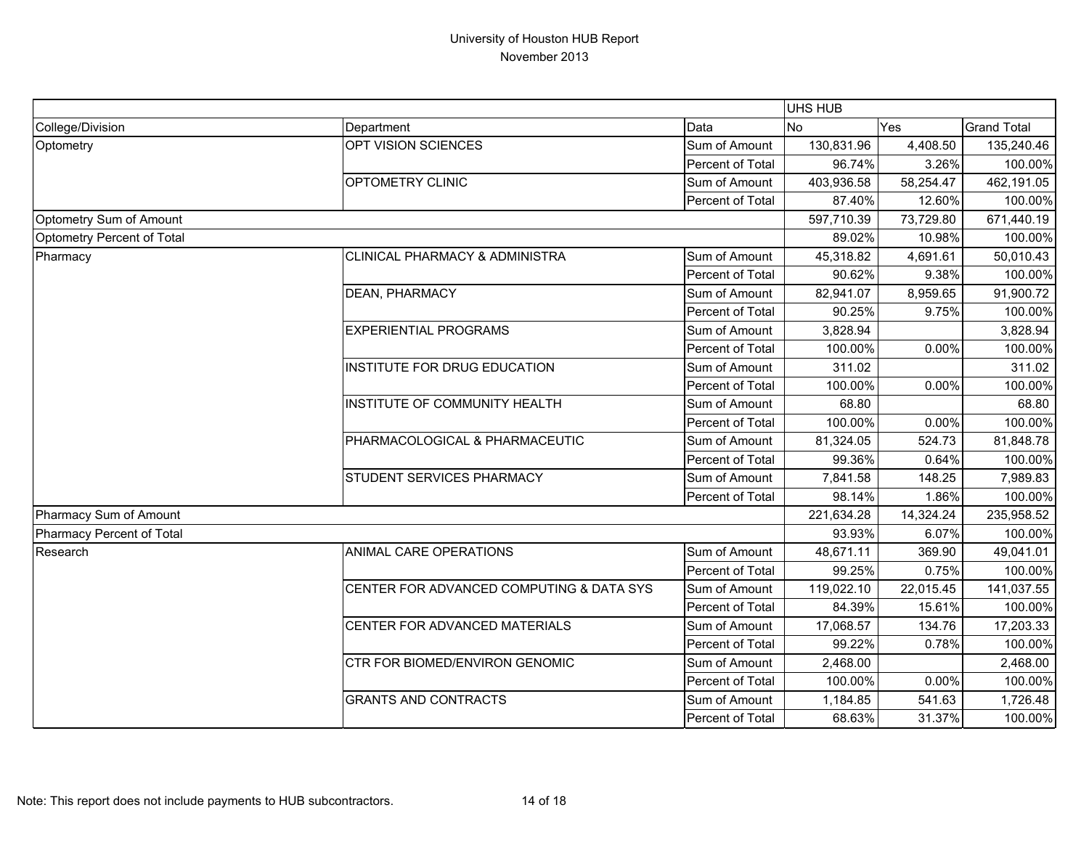|                            |                                           |                  | <b>UHS HUB</b> |           |                    |
|----------------------------|-------------------------------------------|------------------|----------------|-----------|--------------------|
| College/Division           | Department                                | Data             | No             | Yes       | <b>Grand Total</b> |
| Optometry                  | OPT VISION SCIENCES                       | Sum of Amount    | 130,831.96     | 4,408.50  | 135,240.46         |
|                            |                                           | Percent of Total | 96.74%         | 3.26%     | 100.00%            |
|                            | OPTOMETRY CLINIC                          | Sum of Amount    | 403,936.58     | 58,254.47 | 462,191.05         |
|                            |                                           | Percent of Total | 87.40%         | 12.60%    | 100.00%            |
| Optometry Sum of Amount    |                                           |                  | 597,710.39     | 73,729.80 | 671,440.19         |
| Optometry Percent of Total |                                           |                  | 89.02%         | 10.98%    | 100.00%            |
| Pharmacy                   | <b>CLINICAL PHARMACY &amp; ADMINISTRA</b> | Sum of Amount    | 45,318.82      | 4,691.61  | 50,010.43          |
|                            |                                           | Percent of Total | 90.62%         | 9.38%     | 100.00%            |
|                            | DEAN, PHARMACY                            | Sum of Amount    | 82,941.07      | 8,959.65  | 91,900.72          |
|                            |                                           | Percent of Total | 90.25%         | 9.75%     | 100.00%            |
|                            | <b>EXPERIENTIAL PROGRAMS</b>              | Sum of Amount    | 3,828.94       |           | 3,828.94           |
|                            |                                           | Percent of Total | 100.00%        | 0.00%     | 100.00%            |
|                            | <b>INSTITUTE FOR DRUG EDUCATION</b>       | Sum of Amount    | 311.02         |           | 311.02             |
|                            |                                           | Percent of Total | 100.00%        | 0.00%     | 100.00%            |
|                            | INSTITUTE OF COMMUNITY HEALTH             | Sum of Amount    | 68.80          |           | 68.80              |
|                            |                                           | Percent of Total | 100.00%        | 0.00%     | 100.00%            |
|                            | PHARMACOLOGICAL & PHARMACEUTIC            | Sum of Amount    | 81,324.05      | 524.73    | 81,848.78          |
|                            |                                           | Percent of Total | 99.36%         | 0.64%     | 100.00%            |
|                            | <b>STUDENT SERVICES PHARMACY</b>          | Sum of Amount    | 7,841.58       | 148.25    | 7,989.83           |
|                            |                                           | Percent of Total | 98.14%         | 1.86%     | 100.00%            |
| Pharmacy Sum of Amount     |                                           |                  | 221,634.28     | 14,324.24 | 235,958.52         |
| Pharmacy Percent of Total  |                                           |                  | 93.93%         | 6.07%     | 100.00%            |
| Research                   | <b>ANIMAL CARE OPERATIONS</b>             | Sum of Amount    | 48,671.11      | 369.90    | 49,041.01          |
|                            |                                           | Percent of Total | 99.25%         | 0.75%     | 100.00%            |
|                            | CENTER FOR ADVANCED COMPUTING & DATA SYS  | Sum of Amount    | 119,022.10     | 22,015.45 | 141,037.55         |
|                            |                                           | Percent of Total | 84.39%         | 15.61%    | 100.00%            |
|                            | CENTER FOR ADVANCED MATERIALS             | Sum of Amount    | 17,068.57      | 134.76    | 17,203.33          |
|                            |                                           | Percent of Total | 99.22%         | 0.78%     | 100.00%            |
|                            | CTR FOR BIOMED/ENVIRON GENOMIC            | Sum of Amount    | 2,468.00       |           | 2,468.00           |
|                            |                                           | Percent of Total | 100.00%        | 0.00%     | 100.00%            |
|                            | <b>GRANTS AND CONTRACTS</b>               | Sum of Amount    | 1,184.85       | 541.63    | 1,726.48           |
|                            |                                           | Percent of Total | 68.63%         | 31.37%    | 100.00%            |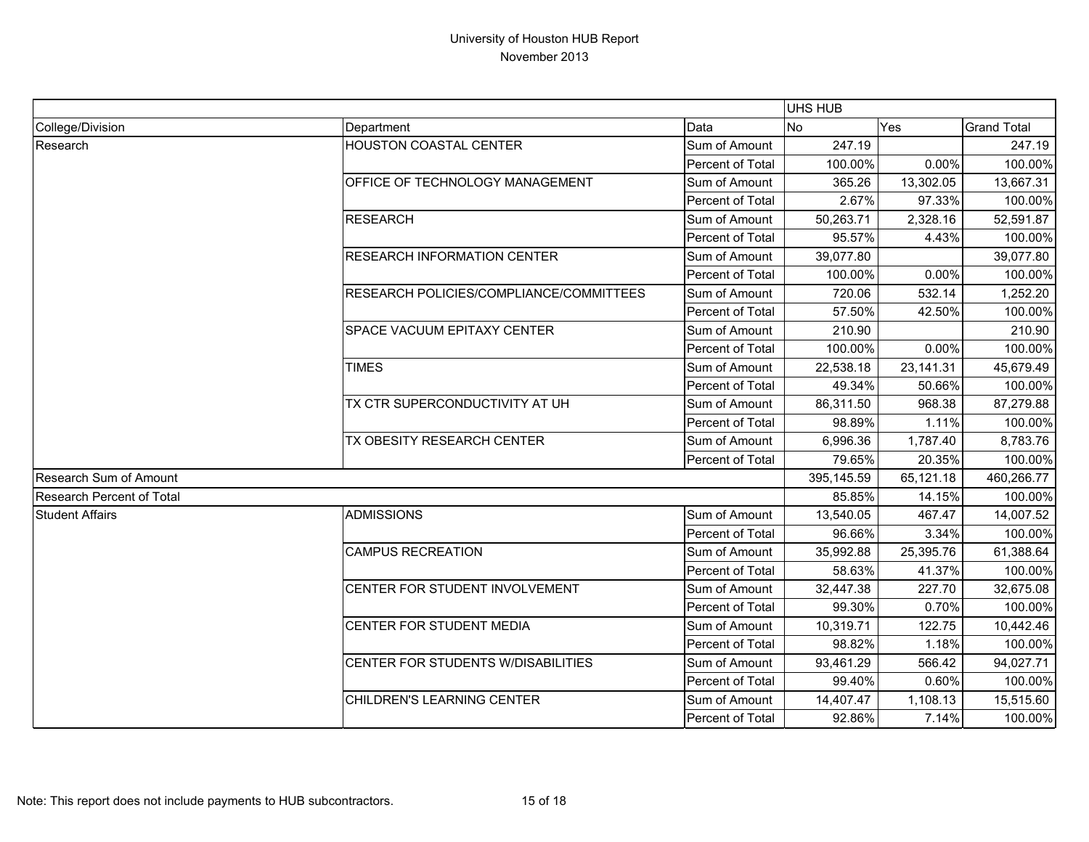|                                  |                                           |                  | <b>UHS HUB</b> |           |                    |
|----------------------------------|-------------------------------------------|------------------|----------------|-----------|--------------------|
| College/Division                 | Department                                | Data             | <b>No</b>      | Yes       | <b>Grand Total</b> |
| Research                         | <b>HOUSTON COASTAL CENTER</b>             | Sum of Amount    | 247.19         |           | 247.19             |
|                                  |                                           | Percent of Total | 100.00%        | 0.00%     | 100.00%            |
|                                  | <b>OFFICE OF TECHNOLOGY MANAGEMENT</b>    | Sum of Amount    | 365.26         | 13,302.05 | 13,667.31          |
|                                  |                                           | Percent of Total | 2.67%          | 97.33%    | 100.00%            |
|                                  | <b>RESEARCH</b>                           | Sum of Amount    | 50,263.71      | 2,328.16  | 52,591.87          |
|                                  |                                           | Percent of Total | 95.57%         | 4.43%     | 100.00%            |
|                                  | <b>RESEARCH INFORMATION CENTER</b>        | Sum of Amount    | 39,077.80      |           | 39,077.80          |
|                                  |                                           | Percent of Total | 100.00%        | 0.00%     | 100.00%            |
|                                  | RESEARCH POLICIES/COMPLIANCE/COMMITTEES   | Sum of Amount    | 720.06         | 532.14    | 1,252.20           |
|                                  |                                           | Percent of Total | 57.50%         | 42.50%    | 100.00%            |
|                                  | <b>SPACE VACUUM EPITAXY CENTER</b>        | Sum of Amount    | 210.90         |           | 210.90             |
|                                  |                                           | Percent of Total | 100.00%        | 0.00%     | 100.00%            |
|                                  | <b>TIMES</b>                              | Sum of Amount    | 22,538.18      | 23,141.31 | 45,679.49          |
|                                  |                                           | Percent of Total | 49.34%         | 50.66%    | 100.00%            |
|                                  | TX CTR SUPERCONDUCTIVITY AT UH            | Sum of Amount    | 86,311.50      | 968.38    | 87,279.88          |
|                                  |                                           | Percent of Total | 98.89%         | 1.11%     | 100.00%            |
|                                  | TX OBESITY RESEARCH CENTER                | Sum of Amount    | 6,996.36       | 1,787.40  | 8,783.76           |
|                                  |                                           | Percent of Total | 79.65%         | 20.35%    | 100.00%            |
| <b>Research Sum of Amount</b>    |                                           |                  | 395,145.59     | 65,121.18 | 460,266.77         |
| <b>Research Percent of Total</b> |                                           |                  | 85.85%         | 14.15%    | 100.00%            |
| <b>Student Affairs</b>           | ADMISSIONS                                | Sum of Amount    | 13,540.05      | 467.47    | 14,007.52          |
|                                  |                                           | Percent of Total | 96.66%         | 3.34%     | 100.00%            |
|                                  | <b>CAMPUS RECREATION</b>                  | Sum of Amount    | 35,992.88      | 25,395.76 | 61,388.64          |
|                                  |                                           | Percent of Total | 58.63%         | 41.37%    | 100.00%            |
|                                  | <b>CENTER FOR STUDENT INVOLVEMENT</b>     | Sum of Amount    | 32,447.38      | 227.70    | 32,675.08          |
|                                  |                                           | Percent of Total | 99.30%         | 0.70%     | 100.00%            |
|                                  | <b>CENTER FOR STUDENT MEDIA</b>           | Sum of Amount    | 10,319.71      | 122.75    | 10,442.46          |
|                                  |                                           | Percent of Total | 98.82%         | 1.18%     | 100.00%            |
|                                  | <b>CENTER FOR STUDENTS W/DISABILITIES</b> | Sum of Amount    | 93,461.29      | 566.42    | 94,027.71          |
|                                  |                                           | Percent of Total | 99.40%         | 0.60%     | 100.00%            |
|                                  | CHILDREN'S LEARNING CENTER                | Sum of Amount    | 14,407.47      | 1,108.13  | 15,515.60          |
|                                  |                                           | Percent of Total | 92.86%         | 7.14%     | 100.00%            |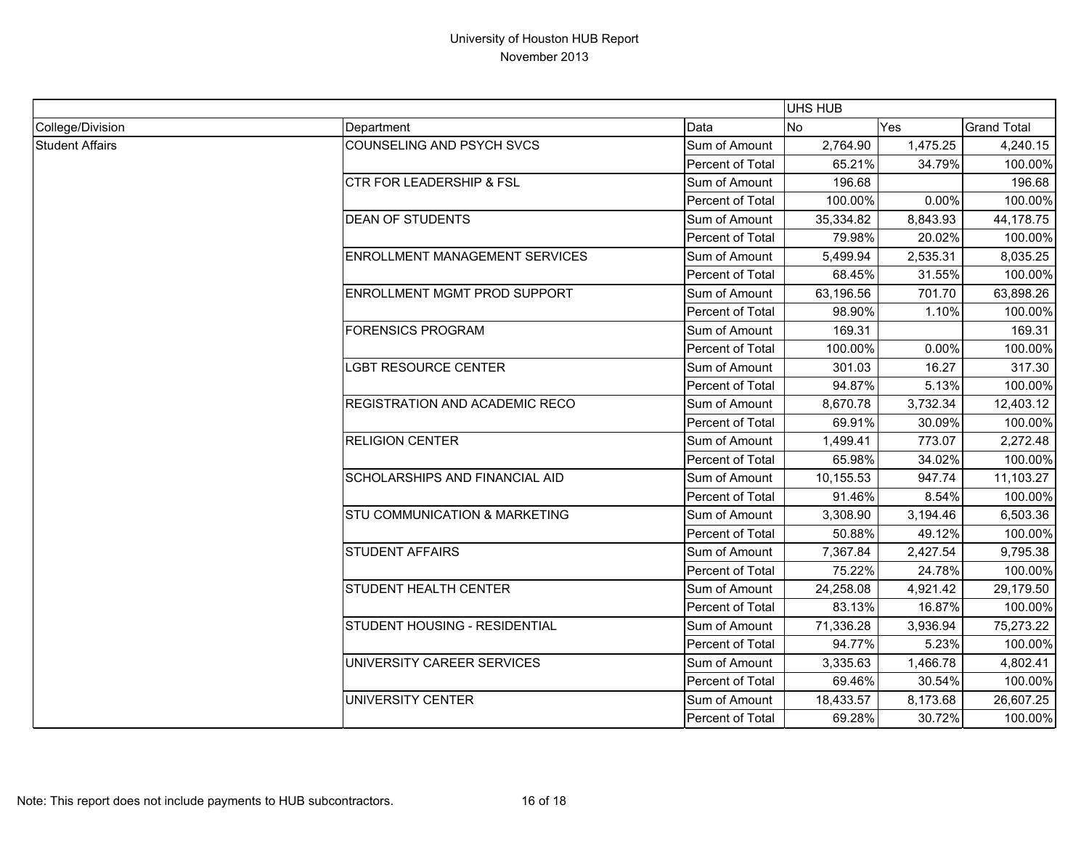|                        |                                          |                  | <b>UHS HUB</b> |          |                    |
|------------------------|------------------------------------------|------------------|----------------|----------|--------------------|
| College/Division       | Department                               | Data             | <b>No</b>      | Yes      | <b>Grand Total</b> |
| <b>Student Affairs</b> | <b>COUNSELING AND PSYCH SVCS</b>         | Sum of Amount    | 2,764.90       | 1,475.25 | 4,240.15           |
|                        |                                          | Percent of Total | 65.21%         | 34.79%   | 100.00%            |
|                        | <b>CTR FOR LEADERSHIP &amp; FSL</b>      | Sum of Amount    | 196.68         |          | 196.68             |
|                        |                                          | Percent of Total | 100.00%        | 0.00%    | 100.00%            |
|                        | <b>DEAN OF STUDENTS</b>                  | Sum of Amount    | 35,334.82      | 8,843.93 | 44,178.75          |
|                        |                                          | Percent of Total | 79.98%         | 20.02%   | 100.00%            |
|                        | <b>ENROLLMENT MANAGEMENT SERVICES</b>    | Sum of Amount    | 5,499.94       | 2,535.31 | 8,035.25           |
|                        |                                          | Percent of Total | 68.45%         | 31.55%   | 100.00%            |
|                        | ENROLLMENT MGMT PROD SUPPORT             | Sum of Amount    | 63,196.56      | 701.70   | 63,898.26          |
|                        |                                          | Percent of Total | 98.90%         | 1.10%    | 100.00%            |
|                        | <b>FORENSICS PROGRAM</b>                 | Sum of Amount    | 169.31         |          | 169.31             |
|                        |                                          | Percent of Total | 100.00%        | 0.00%    | 100.00%            |
|                        | LGBT RESOURCE CENTER                     | Sum of Amount    | 301.03         | 16.27    | 317.30             |
|                        |                                          | Percent of Total | 94.87%         | 5.13%    | 100.00%            |
|                        | REGISTRATION AND ACADEMIC RECO           | Sum of Amount    | 8,670.78       | 3,732.34 | 12,403.12          |
|                        |                                          | Percent of Total | 69.91%         | 30.09%   | 100.00%            |
|                        | <b>RELIGION CENTER</b>                   | Sum of Amount    | 1,499.41       | 773.07   | 2,272.48           |
|                        |                                          | Percent of Total | 65.98%         | 34.02%   | 100.00%            |
|                        | <b>SCHOLARSHIPS AND FINANCIAL AID</b>    | Sum of Amount    | 10,155.53      | 947.74   | 11,103.27          |
|                        |                                          | Percent of Total | 91.46%         | 8.54%    | 100.00%            |
|                        | <b>STU COMMUNICATION &amp; MARKETING</b> | Sum of Amount    | 3,308.90       | 3,194.46 | 6,503.36           |
|                        |                                          | Percent of Total | 50.88%         | 49.12%   | 100.00%            |
|                        | <b>STUDENT AFFAIRS</b>                   | Sum of Amount    | 7,367.84       | 2,427.54 | 9,795.38           |
|                        |                                          | Percent of Total | 75.22%         | 24.78%   | 100.00%            |
|                        | <b>STUDENT HEALTH CENTER</b>             | Sum of Amount    | 24,258.08      | 4,921.42 | 29,179.50          |
|                        |                                          | Percent of Total | 83.13%         | 16.87%   | 100.00%            |
|                        | STUDENT HOUSING - RESIDENTIAL            | Sum of Amount    | 71,336.28      | 3,936.94 | 75,273.22          |
|                        |                                          | Percent of Total | 94.77%         | 5.23%    | 100.00%            |
|                        | UNIVERSITY CAREER SERVICES               | Sum of Amount    | 3,335.63       | 1,466.78 | 4,802.41           |
|                        |                                          | Percent of Total | 69.46%         | 30.54%   | 100.00%            |
|                        | UNIVERSITY CENTER                        | Sum of Amount    | 18,433.57      | 8,173.68 | 26,607.25          |
|                        |                                          | Percent of Total | 69.28%         | 30.72%   | 100.00%            |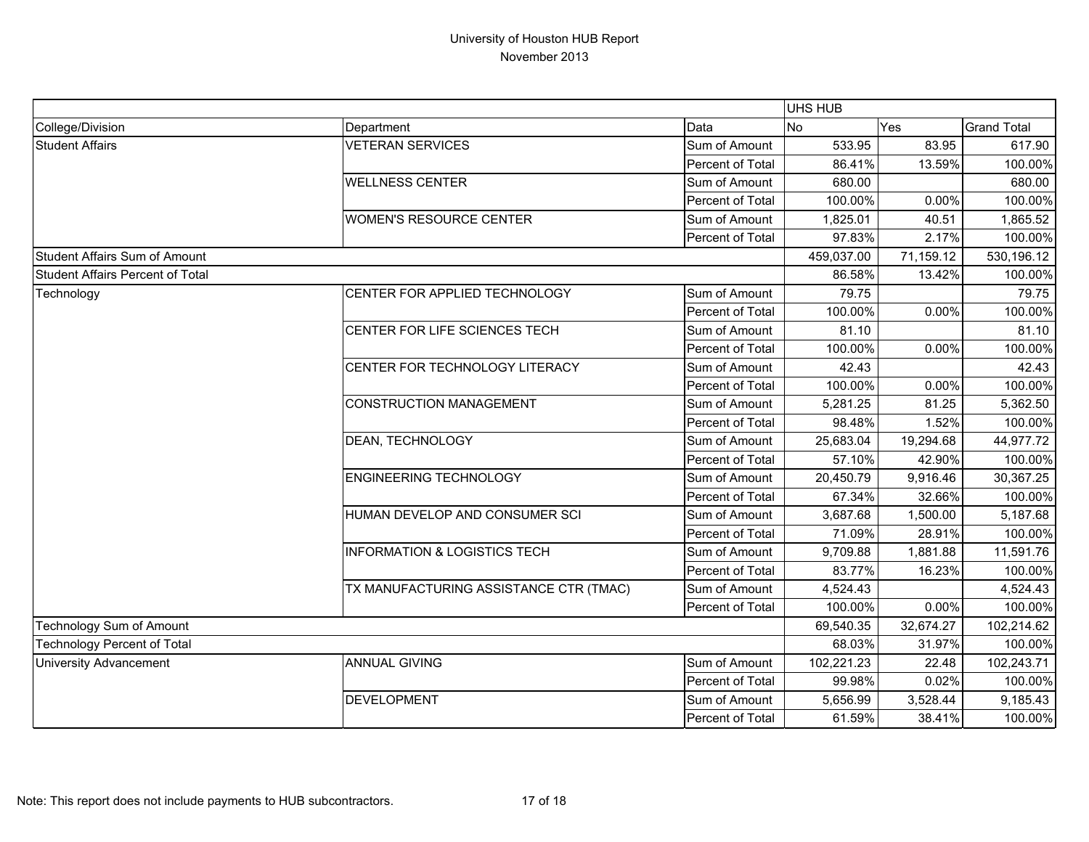|                                         |                                         |                  | UHS HUB    |            |                    |
|-----------------------------------------|-----------------------------------------|------------------|------------|------------|--------------------|
| College/Division                        | Department                              | Data             | <b>No</b>  | Yes        | <b>Grand Total</b> |
| <b>Student Affairs</b>                  | <b>VETERAN SERVICES</b>                 | Sum of Amount    | 533.95     | 83.95      | 617.90             |
|                                         |                                         | Percent of Total | 86.41%     | 13.59%     | 100.00%            |
|                                         | <b>WELLNESS CENTER</b>                  | Sum of Amount    | 680.00     |            | 680.00             |
|                                         |                                         | Percent of Total | 100.00%    | 0.00%      | 100.00%            |
|                                         | <b>WOMEN'S RESOURCE CENTER</b>          | Sum of Amount    | 1,825.01   | 40.51      | 1,865.52           |
|                                         |                                         | Percent of Total | 97.83%     | 2.17%      | 100.00%            |
| Student Affairs Sum of Amount           |                                         |                  | 459,037.00 | 71,159.12  | 530,196.12         |
| <b>Student Affairs Percent of Total</b> |                                         |                  | 86.58%     | 13.42%     | 100.00%            |
| Technology                              | CENTER FOR APPLIED TECHNOLOGY           | Sum of Amount    | 79.75      |            | 79.75              |
|                                         |                                         | Percent of Total | 100.00%    | 0.00%      | 100.00%            |
|                                         | CENTER FOR LIFE SCIENCES TECH           | Sum of Amount    | 81.10      |            | 81.10              |
|                                         |                                         | Percent of Total | 100.00%    | 0.00%      | 100.00%            |
|                                         | CENTER FOR TECHNOLOGY LITERACY          | Sum of Amount    | 42.43      |            | 42.43              |
|                                         |                                         | Percent of Total | 100.00%    | 0.00%      | 100.00%            |
|                                         | <b>CONSTRUCTION MANAGEMENT</b>          | Sum of Amount    | 5,281.25   | 81.25      | 5,362.50           |
|                                         |                                         | Percent of Total | 98.48%     | 1.52%      | 100.00%            |
|                                         | <b>DEAN, TECHNOLOGY</b>                 | Sum of Amount    | 25,683.04  | 19,294.68  | 44,977.72          |
|                                         |                                         | Percent of Total | 57.10%     | 42.90%     | 100.00%            |
|                                         | <b>ENGINEERING TECHNOLOGY</b>           | Sum of Amount    | 20,450.79  | 9,916.46   | 30,367.25          |
|                                         |                                         | Percent of Total | 67.34%     | 32.66%     | 100.00%            |
|                                         | HUMAN DEVELOP AND CONSUMER SCI          | Sum of Amount    | 3,687.68   | 1,500.00   | 5,187.68           |
|                                         |                                         | Percent of Total | 71.09%     | 28.91%     | 100.00%            |
|                                         | <b>INFORMATION &amp; LOGISTICS TECH</b> | Sum of Amount    | 9,709.88   | 1,881.88   | 11,591.76          |
|                                         |                                         | Percent of Total | 83.77%     | 16.23%     | 100.00%            |
|                                         | TX MANUFACTURING ASSISTANCE CTR (TMAC)  | Sum of Amount    | 4,524.43   |            | 4,524.43           |
|                                         |                                         | Percent of Total | 100.00%    | 0.00%      | 100.00%            |
| Technology Sum of Amount                |                                         | 69,540.35        | 32,674.27  | 102,214.62 |                    |
| <b>Technology Percent of Total</b>      |                                         | 68.03%           | 31.97%     | 100.00%    |                    |
| <b>University Advancement</b>           | <b>ANNUAL GIVING</b>                    | Sum of Amount    | 102,221.23 | 22.48      | 102,243.71         |
|                                         |                                         | Percent of Total | 99.98%     | 0.02%      | 100.00%            |
|                                         | <b>DEVELOPMENT</b>                      | Sum of Amount    | 5,656.99   | 3,528.44   | 9,185.43           |
|                                         |                                         | Percent of Total | 61.59%     | 38.41%     | 100.00%            |